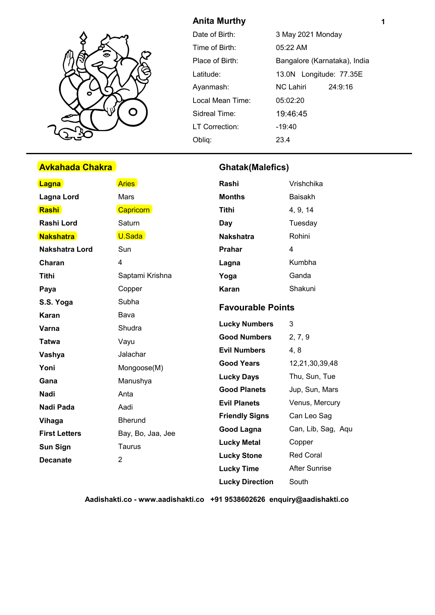

# **Avkahada Chakra Ghatak(Malefics)**

# **Anita Murthy**

| Date of Birth:   | 3 May 2021 Monday            |  |  |  |  |
|------------------|------------------------------|--|--|--|--|
| Time of Birth:   | 05:22 AM                     |  |  |  |  |
| Place of Birth:  | Bangalore (Karnataka), India |  |  |  |  |
| Latitude:        | 13.0N Longitude: 77.35E      |  |  |  |  |
| Ayanmash:        | 24:9:16<br>NC Lahiri         |  |  |  |  |
| Local Mean Time: | 05:02:20                     |  |  |  |  |
| Sidreal Time:    | 19:46:45                     |  |  |  |  |
| LT Correction:   | $-19:40$                     |  |  |  |  |
| Oblig:           | 23.4                         |  |  |  |  |

| <b>Lagna</b>          | <b>Aries</b>      | Rashi                    | Vrishchika           |  |  |
|-----------------------|-------------------|--------------------------|----------------------|--|--|
| <b>Lagna Lord</b>     | <b>Mars</b>       | <b>Months</b>            | <b>Baisakh</b>       |  |  |
| Rashi                 | <b>Capricorn</b>  | Tithi                    | 4, 9, 14             |  |  |
| Rashi Lord            | Saturn            | Day                      | Tuesday              |  |  |
| <b>Nakshatra</b>      | U.Sada            | <b>Nakshatra</b>         | Rohini               |  |  |
| <b>Nakshatra Lord</b> | Sun               | <b>Prahar</b>            | $\overline{4}$       |  |  |
| Charan                | 4                 | Lagna                    | Kumbha               |  |  |
| <b>Tithi</b>          | Saptami Krishna   | Yoga                     | Ganda                |  |  |
| Paya                  | Copper            | <b>Karan</b>             | Shakuni              |  |  |
| S.S. Yoga             | Subha             | <b>Favourable Points</b> |                      |  |  |
| Karan                 | Bava              |                          |                      |  |  |
| Varna                 | Shudra            | <b>Lucky Numbers</b>     | 3                    |  |  |
| <b>Tatwa</b>          | Vayu              | <b>Good Numbers</b>      | 2, 7, 9              |  |  |
| Vashya                | Jalachar          | <b>Evil Numbers</b>      | 4, 8                 |  |  |
| Yoni                  | Mongoose(M)       | <b>Good Years</b>        | 12,21,30,39,48       |  |  |
| Gana                  | Manushya          | <b>Lucky Days</b>        | Thu, Sun, Tue        |  |  |
| <b>Nadi</b>           | Anta              | <b>Good Planets</b>      | Jup, Sun, Mars       |  |  |
| Nadi Pada             | Aadi              | <b>Evil Planets</b>      | Venus, Mercury       |  |  |
| Vihaga                | <b>Bherund</b>    | <b>Friendly Signs</b>    | Can Leo Sag          |  |  |
| <b>First Letters</b>  | Bay, Bo, Jaa, Jee | Good Lagna               | Can, Lib, Sag, Aqu   |  |  |
| <b>Sun Sign</b>       | Taurus            | <b>Lucky Metal</b>       | Copper               |  |  |
| <b>Decanate</b>       | $\overline{2}$    | <b>Lucky Stone</b>       | Red Coral            |  |  |
|                       |                   | <b>Lucky Time</b>        | <b>After Sunrise</b> |  |  |
|                       |                   | <b>Lucky Direction</b>   | South                |  |  |

**Aadishakti.co - www.aadishakti.co +91 9538602626 enquiry@aadishakti.co**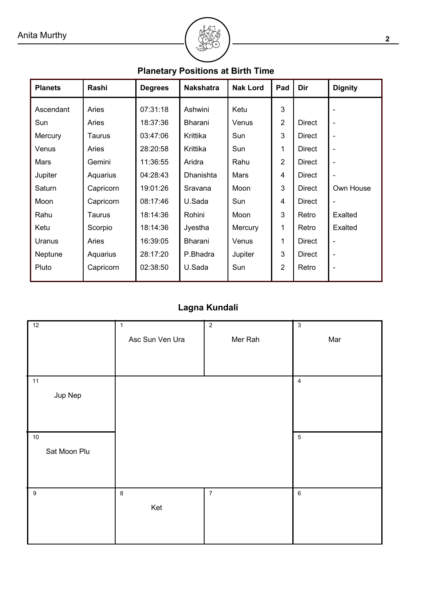# ² **<sup>2</sup>**

| , anciary r contono at Dirin Time |           |                |                  |                 |                |               |                |  |  |  |
|-----------------------------------|-----------|----------------|------------------|-----------------|----------------|---------------|----------------|--|--|--|
| <b>Planets</b>                    | Rashi     | <b>Degrees</b> | <b>Nakshatra</b> | <b>Nak Lord</b> | Pad            | Dir           | <b>Dignity</b> |  |  |  |
| Ascendant                         | Aries     | 07:31:18       | Ashwini          | Ketu            | 3              |               |                |  |  |  |
| Sun                               | Aries     | 18:37:36       | Bharani          | Venus           | $\overline{2}$ | <b>Direct</b> | ۰              |  |  |  |
| Mercury                           | Taurus    | 03:47:06       | Krittika         | Sun             | 3              | <b>Direct</b> | $\overline{a}$ |  |  |  |
| Venus                             | Aries     | 28:20:58       | Krittika         | Sun             | 1              | Direct        | $\overline{a}$ |  |  |  |
| Mars                              | Gemini    | 11:36:55       | Aridra           | Rahu            | $\overline{2}$ | Direct        | ٠              |  |  |  |
| Jupiter                           | Aquarius  | 04:28:43       | Dhanishta        | Mars            | 4              | Direct        | ٠              |  |  |  |
| Saturn                            | Capricorn | 19:01:26       | Sravana          | Moon            | 3              | <b>Direct</b> | Own House      |  |  |  |
| Moon                              | Capricorn | 08:17:46       | U.Sada           | Sun             | 4              | Direct        | ٠              |  |  |  |
| Rahu                              | Taurus    | 18:14:36       | Rohini           | Moon            | 3              | Retro         | Exalted        |  |  |  |
| Ketu                              | Scorpio   | 18:14:36       | Jyestha          | Mercury         | 1              | Retro         | <b>Exalted</b> |  |  |  |
| Uranus                            | Aries     | 16:39:05       | Bharani          | Venus           | 1              | <b>Direct</b> | ۰              |  |  |  |
| Neptune                           | Aquarius  | 28:17:20       | P.Bhadra         | Jupiter         | 3              | Direct        | $\overline{a}$ |  |  |  |
| Pluto                             | Capricorn | 02:38:50       | U.Sada           | Sun             | $\overline{2}$ | Retro         | ۰              |  |  |  |

# **Planetary Positions at Birth Time**

# **Lagna Kundali**

| 12                     | $\mathbf{1}$<br>Asc Sun Ven Ura | $\overline{2}$<br>Mer Rah | $\sqrt{3}$<br>Mar       |
|------------------------|---------------------------------|---------------------------|-------------------------|
| $11$<br>Jup Nep        |                                 |                           | $\overline{\mathbf{4}}$ |
| $10\,$<br>Sat Moon Plu |                                 |                           | $\sqrt{5}$              |
| $\boldsymbol{9}$       | $\,8\,$<br>Ket                  | $\boldsymbol{7}$          | $\,6\,$                 |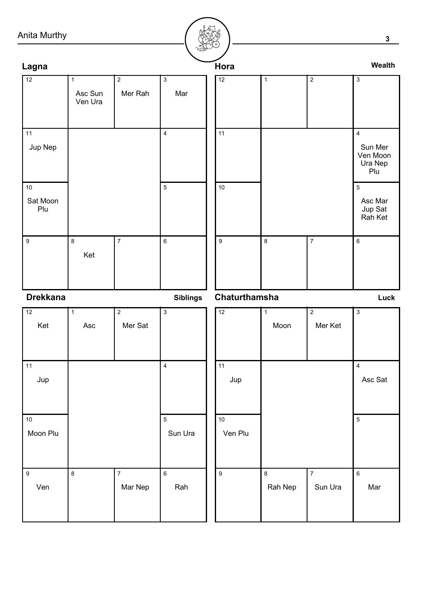# Anita Mu

| Anita Murthy              |                                      |                           |                         |                 |      |              |                  | $\mathbf{3}$                                            |
|---------------------------|--------------------------------------|---------------------------|-------------------------|-----------------|------|--------------|------------------|---------------------------------------------------------|
| Lagna                     |                                      |                           |                         |                 | Hora |              |                  | Wealth                                                  |
| 12                        | $\overline{1}$<br>Asc Sun<br>Ven Ura | $\overline{2}$<br>Mer Rah | $\overline{3}$<br>Mar   | $\overline{12}$ |      | $\mathbf{1}$ | $\overline{2}$   | $\overline{3}$                                          |
| 11<br>Jup Nep             |                                      |                           | $\overline{\mathbf{4}}$ | 11              |      |              |                  | $\overline{4}$<br>Sun Mer<br>Ven Moon<br>Ura Nep<br>Plu |
| $10\,$<br>Sat Moon<br>Plu |                                      |                           | $\overline{5}$          | 10              |      |              |                  | $\overline{5}$<br>Asc Mar<br>Jup Sat<br>Rah Ket         |
| $\boldsymbol{9}$          | $\,8\,$<br>Ket                       | $\overline{7}$            | $\,6\,$                 | $\mathsf g$     |      | $\,8\,$      | $\boldsymbol{7}$ | $\,6\,$                                                 |

| <b>Drekkana</b>         |                     |                           | <b>Siblings</b>         | Chaturthamsha    |                      |                           | Luck                      |
|-------------------------|---------------------|---------------------------|-------------------------|------------------|----------------------|---------------------------|---------------------------|
| 12<br>Ket               | $\mathbf{1}$<br>Asc | $\overline{2}$<br>Mer Sat | $\overline{3}$          | $\overline{12}$  | $\mathbf{1}$<br>Moon | $\overline{2}$<br>Mer Ket | $\overline{3}$            |
| 11<br>Jup               |                     |                           | $\overline{\mathbf{4}}$ | 11<br>Jup        |                      |                           | $\overline{4}$<br>Asc Sat |
| $10\,$<br>Moon Plu      |                     |                           | $\mathbf 5$<br>Sun Ura  | 10<br>Ven Plu    |                      |                           | $\sqrt{5}$                |
| $\boldsymbol{9}$<br>Ven | 8                   | $\overline{7}$<br>Mar Nep | $\,6\,$<br>Rah          | $\boldsymbol{9}$ | 8<br>Rah Nep         | $\overline{7}$<br>Sun Ura | $\boldsymbol{6}$<br>Mar   |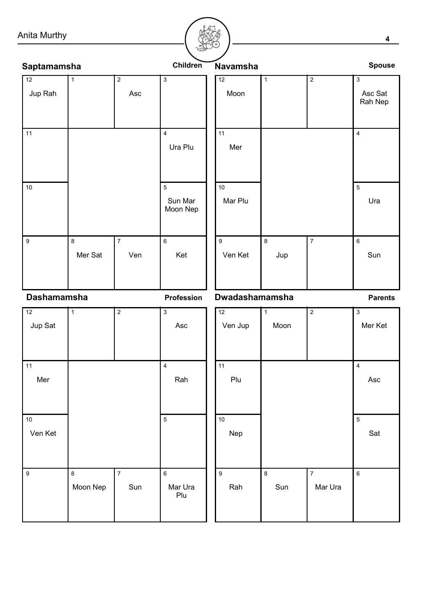# Anita Murthy

| nita Murthy                |              |                       |                                   |                             |                      |                |                                      |  |
|----------------------------|--------------|-----------------------|-----------------------------------|-----------------------------|----------------------|----------------|--------------------------------------|--|
| Saptamamsha                |              |                       | Children                          | Navamsha                    |                      |                | <b>Spouse</b>                        |  |
| 12<br>Jup Rah              | $\mathbf{1}$ | $\overline{2}$<br>Asc | $\mathsf 3$                       | 12<br>Moon                  | $\overline{1}$       | $\overline{2}$ | $\overline{3}$<br>Asc Sat<br>Rah Nep |  |
| 11                         |              |                       | $\overline{4}$<br>Ura Plu         | 11<br>Mer                   |                      |                | $\overline{4}$                       |  |
| $10$                       |              |                       | $\sqrt{5}$<br>Sun Mar<br>Moon Nep | $10$<br>Mar Plu             |                      |                | $\overline{5}$<br>Ura                |  |
| $\overline{9}$             | 8<br>Mer Sat | $\overline{7}$<br>Ven | $\,6\,$<br>Ket                    | $\boldsymbol{9}$<br>Ven Ket | $\bf{8}$<br>Jup      | $\overline{7}$ | $\,6\,$<br>Sun                       |  |
| <b>Dashamamsha</b>         |              |                       | Profession                        | Dwadashamamsha              |                      |                | <b>Parents</b>                       |  |
| $\overline{12}$<br>Jup Sat | $\mathbf{1}$ | $\overline{2}$        | $\overline{3}$<br>Asc             | $\overline{12}$<br>Ven Jup  | $\mathbf{1}$<br>Moon | $\overline{2}$ | $\overline{3}$<br>Mer Ket            |  |

| $11$             |          |                | $\overline{\mathbf{4}}$ | 11               |         |                | $\overline{\mathbf{4}}$ |     |
|------------------|----------|----------------|-------------------------|------------------|---------|----------------|-------------------------|-----|
| Mer              |          |                | Rah                     | Plu              |         |                |                         | Asc |
|                  |          |                |                         |                  |         |                |                         |     |
| $10\,$           |          |                | $\sqrt{5}$              | $10\,$           |         |                | $\sqrt{5}$              |     |
| Ven Ket          |          |                |                         | Nep              |         |                |                         | Sat |
|                  |          |                |                         |                  |         |                |                         |     |
| $\boldsymbol{9}$ | $\bf 8$  | $\overline{7}$ | $\,6\,$                 | $\boldsymbol{9}$ | $\,8\,$ | $\overline{7}$ | $\,6\,$                 |     |
|                  | Moon Nep | Sun            | Mar Ura<br>Plu          | Rah              | Sun     | Mar Ura        |                         |     |
|                  |          |                |                         |                  |         |                |                         |     |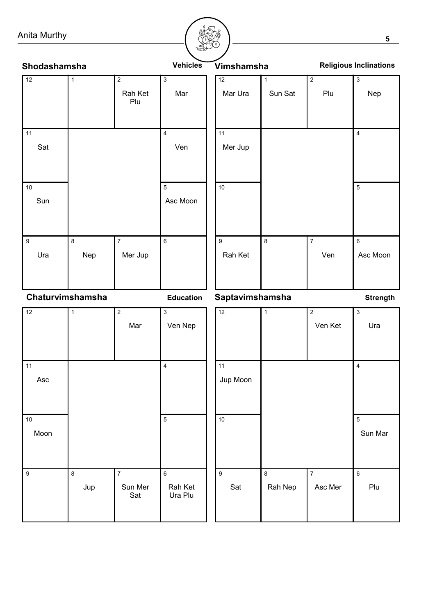#### Anita Murthy

12

11

10

Sat

Sun



Mar Ura Mer Jup Rah Ket | Ven | Asc Moon Sun Sat | Plu | Nep  $\overline{12}$ 11 10 9 8 7 6 5 4 1 |2 |3 Ura | Nep | Mer Jup Asc Moon Ven Rah Ket | Mar Plu 9 8 7 6 5 4 1 |2 |3 Shodashamsha **Vehicles** Vimshamsha **Vehicles Religious Inclinations** 

**Chaturvimshamsha Education Saptavimshamsha** Strength

| 12               | 1       | $\overline{2}$ | $\overline{3}$     | 12               | $\mathbf{1}$ | $\overline{2}$ | $\overline{3}$          |
|------------------|---------|----------------|--------------------|------------------|--------------|----------------|-------------------------|
|                  |         | Mar            | Ven Nep            |                  |              | Ven Ket        | Ura                     |
|                  |         |                |                    |                  |              |                |                         |
| 11               |         |                | $\overline{4}$     | 11               |              |                | $\overline{\mathbf{4}}$ |
| Asc              |         |                |                    | Jup Moon         |              |                |                         |
|                  |         |                |                    |                  |              |                |                         |
| $10\,$           |         |                | $\overline{5}$     | $10\,$           |              |                | $\sqrt{5}$              |
| Moon             |         |                |                    |                  |              |                | Sun Mar                 |
|                  |         |                |                    |                  |              |                |                         |
|                  |         |                |                    |                  |              |                |                         |
| $\boldsymbol{9}$ | $\bf 8$ | $\overline{7}$ | $\,6\,$            | $\boldsymbol{9}$ | $\bf 8$      | $\overline{7}$ | $\,6\,$                 |
|                  | Jup     | Sun Mer<br>Sat | Rah Ket<br>Ura Plu | Sat              | Rah Nep      | Asc Mer        | Plu                     |
|                  |         |                |                    |                  |              |                |                         |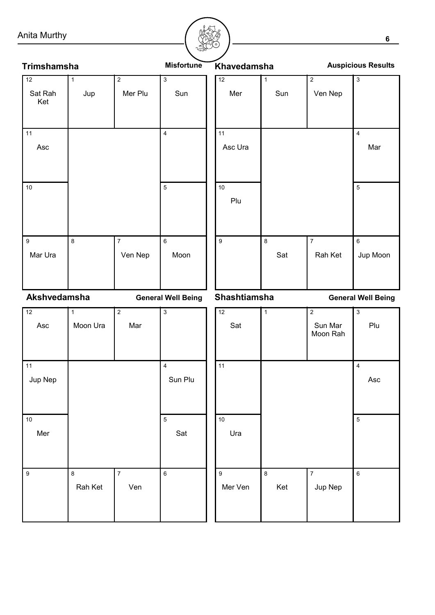Anita Murthy

| Anita Murthy                |                         |                           |                                    |                             |                     |                                       | 6                              |
|-----------------------------|-------------------------|---------------------------|------------------------------------|-----------------------------|---------------------|---------------------------------------|--------------------------------|
|                             |                         |                           |                                    |                             |                     |                                       |                                |
| <b>Trimshamsha</b>          |                         |                           | <b>Misfortune</b>                  | Khavedamsha                 |                     |                                       | <b>Auspicious Results</b>      |
| 12<br>Sat Rah<br>Ket        | $\mathbf 1$<br>Jup      | $\overline{2}$<br>Mer Plu | $\mathbf{3}$<br>Sun                | 12<br>Mer                   | $\mathbf{1}$<br>Sun | $\overline{2}$<br>Ven Nep             | $\overline{3}$                 |
| 11<br>Asc                   |                         |                           | $\overline{\mathbf{4}}$            | 11<br>Asc Ura               |                     |                                       | $\overline{\mathbf{4}}$<br>Mar |
| 10                          |                         |                           | $\overline{5}$                     | 10<br>Plu                   |                     |                                       | $\overline{5}$                 |
| $\boldsymbol{9}$<br>Mar Ura | 8                       | $\overline{7}$<br>Ven Nep | $\,6\,$<br>Moon                    | $\boldsymbol{9}$            | 8<br>Sat            | $\overline{7}$<br>Rah Ket             | $\,6\,$<br>Jup Moon            |
| Akshvedamsha                |                         |                           | <b>General Well Being</b>          | <b>Shashtiamsha</b>         |                     |                                       | <b>General Well Being</b>      |
| $\overline{12}$<br>Asc      | $\mathbf 1$<br>Moon Ura | $\overline{2}$<br>Mar     | $\overline{\overline{3}}$          | $\overline{12}$<br>Sat      | $\mathbf{1}$        | $\overline{2}$<br>Sun Mar<br>Moon Rah | $\overline{3}$<br>Plu          |
| 11<br>Jup Nep               |                         |                           | $\overline{\mathbf{4}}$<br>Sun Plu | 11                          |                     |                                       | $\overline{\mathbf{4}}$<br>Asc |
| $10\,$<br>Mer               |                         |                           | $\overline{5}$<br>Sat              | $10$<br>Ura                 |                     |                                       | 5                              |
| $\boldsymbol{9}$            | 8<br>Rah Ket            | $\overline{7}$<br>Ven     | $\,6\,$                            | $\boldsymbol{9}$<br>Mer Ven | 8<br>Ket            | $\boldsymbol{7}$<br>Jup Nep           | $\,6\,$                        |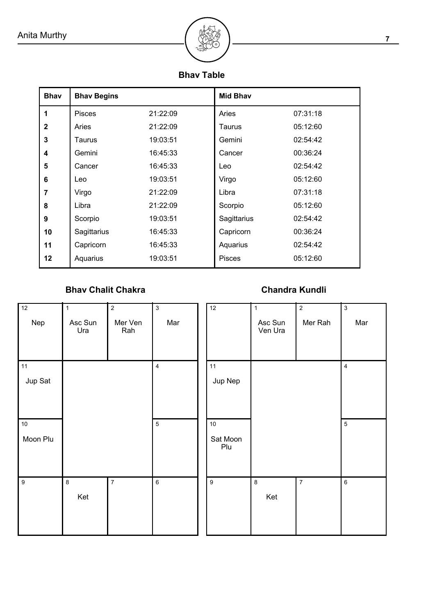

# **Bhav Table**

| <b>Bhav</b>             | <b>Bhav Begins</b> |          | <b>Mid Bhav</b> |          |
|-------------------------|--------------------|----------|-----------------|----------|
| 1                       | <b>Pisces</b>      | 21:22:09 | Aries           | 07:31:18 |
| $\mathbf{2}$            | Aries              | 21:22:09 | Taurus          | 05:12:60 |
| 3                       | Taurus             | 19:03:51 | Gemini          | 02:54:42 |
| $\overline{\mathbf{4}}$ | Gemini             | 16:45:33 | Cancer          | 00:36:24 |
| 5                       | Cancer             | 16:45:33 | Leo             | 02:54:42 |
| 6                       | Leo                | 19:03:51 | Virgo           | 05:12:60 |
| $\overline{7}$          | Virgo              | 21:22:09 | Libra           | 07:31:18 |
| 8                       | Libra              | 21:22:09 | Scorpio         | 05:12:60 |
| 9                       | Scorpio            | 19:03:51 | Sagittarius     | 02:54:42 |
| 10                      | Sagittarius        | 16:45:33 | Capricorn       | 00:36:24 |
| 11                      | Capricorn          | 16:45:33 | Aquarius        | 02:54:42 |
| $12 \,$                 | Aquarius           | 19:03:51 | <b>Pisces</b>   | 05:12:60 |

# **Bhav Chalit Chakra**

# **Chandra Kundli**

| 12<br>Nep               | $\mathbf{1}$<br>Asc Sun<br>Ura | $\overline{2}$<br>Mer Ven<br>Rah | $\overline{3}$<br>Mar                 | 12                      | $\mathbf{1}$<br>Asc Sun<br>Ven Ura | $\overline{2}$<br>Mer Rah | $\overline{3}$<br>Mar        |
|-------------------------|--------------------------------|----------------------------------|---------------------------------------|-------------------------|------------------------------------|---------------------------|------------------------------|
| 11<br>Jup Sat<br>$10\,$ |                                |                                  | $\overline{\mathbf{4}}$<br>$\sqrt{5}$ | 11<br>Jup Nep<br>$10\,$ |                                    |                           | $\overline{4}$<br>$\sqrt{5}$ |
| Moon Plu                |                                |                                  |                                       | Sat Moon<br>Plu         |                                    |                           |                              |
| $\boldsymbol{9}$        | $\bf 8$<br>Ket                 | $\overline{7}$                   | $\,6\,$                               | $\boldsymbol{9}$        | $\bf 8$<br>Ket                     | $\overline{7}$            | $\,6\,$                      |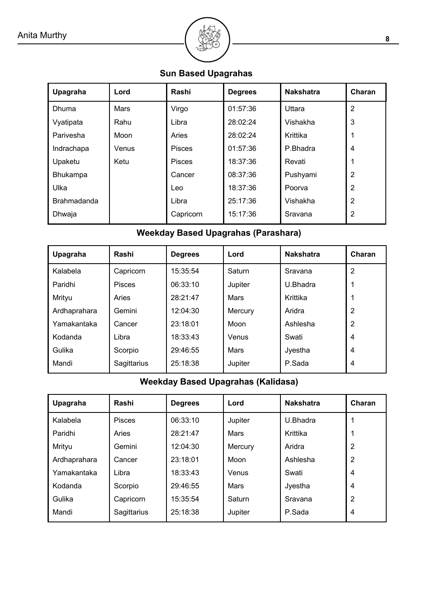

**Sun Based Upagrahas**

| Upagraha           | Lord  | Rashi         | <b>Degrees</b> | <b>Nakshatra</b> | Charan         |
|--------------------|-------|---------------|----------------|------------------|----------------|
| Dhuma              | Mars  | Virgo         | 01:57:36       | Uttara           | $\overline{2}$ |
| Vyatipata          | Rahu  | Libra         | 28:02:24       | Vishakha         | 3              |
| Parivesha          | Moon  | Aries         | 28:02:24       | Krittika         |                |
| Indrachapa         | Venus | <b>Pisces</b> | 01:57:36       | P.Bhadra         | $\overline{4}$ |
| Upaketu            | Ketu  | <b>Pisces</b> | 18:37:36       | Revati           |                |
| <b>Bhukampa</b>    |       | Cancer        | 08:37:36       | Pushyami         | $\overline{2}$ |
| Ulka               |       | Leo           | 18:37:36       | Poorva           | $\overline{2}$ |
| <b>Brahmadanda</b> |       | Libra         | 25:17:36       | Vishakha         | $\overline{2}$ |
| Dhwaja             |       | Capricorn     | 15:17:36       | Sravana          | 2              |
|                    |       |               |                |                  |                |

# **Weekday Based Upagrahas (Parashara)**

| Upagraha     | Rashi         | <b>Degrees</b> | Lord    | <b>Nakshatra</b> | Charan         |
|--------------|---------------|----------------|---------|------------------|----------------|
| Kalabela     | Capricorn     | 15:35:54       | Saturn  | Sravana          | $\overline{2}$ |
| Paridhi      | <b>Pisces</b> | 06:33:10       | Jupiter | U.Bhadra         |                |
| Mrityu       | Aries         | 28:21:47       | Mars    | Krittika         |                |
| Ardhaprahara | Gemini        | 12:04:30       | Mercury | Aridra           | $\overline{2}$ |
| Yamakantaka  | Cancer        | 23:18:01       | Moon    | Ashlesha         | $\overline{2}$ |
| Kodanda      | Libra         | 18:33:43       | Venus   | Swati            | 4              |
| Gulika       | Scorpio       | 29:46:55       | Mars    | Jyestha          | 4              |
| Mandi        | Sagittarius   | 25:18:38       | Jupiter | P.Sada           | 4              |

# **Weekday Based Upagrahas (Kalidasa)**

| Upagraha     | Rashi         | <b>Degrees</b> | Lord    | <b>Nakshatra</b> | Charan         |
|--------------|---------------|----------------|---------|------------------|----------------|
| Kalabela     | <b>Pisces</b> | 06:33:10       | Jupiter | U.Bhadra         |                |
| Paridhi      | Aries         | 28:21:47       | Mars    | Krittika         |                |
| Mrityu       | Gemini        | 12:04:30       | Mercury | Aridra           | $\overline{2}$ |
| Ardhaprahara | Cancer        | 23:18:01       | Moon    | Ashlesha         | $\overline{2}$ |
| Yamakantaka  | Libra         | 18:33:43       | Venus   | Swati            | 4              |
| Kodanda      | Scorpio       | 29:46:55       | Mars    | Jyestha          | $\overline{4}$ |
| Gulika       | Capricorn     | 15:35:54       | Saturn  | Sravana          | $\overline{2}$ |
| Mandi        | Sagittarius   | 25:18:38       | Jupiter | P.Sada           | $\overline{4}$ |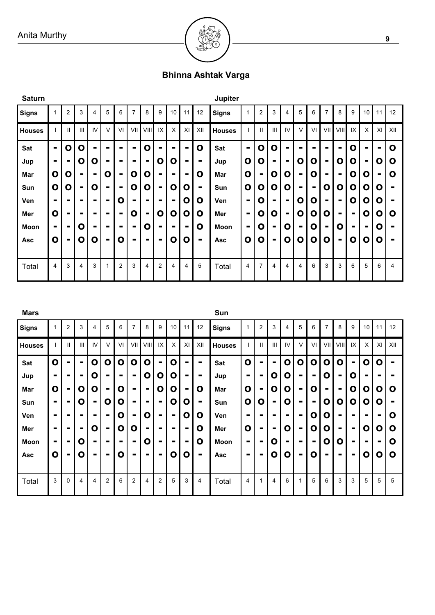

# **Bhinna Ashtak Varga**

| <b>Saturn</b> |                |              |                |    |                |                |                |                |                |                |                |                | Jupiter       |                |                |                |                |   |                |                |                |                |                |    |             |
|---------------|----------------|--------------|----------------|----|----------------|----------------|----------------|----------------|----------------|----------------|----------------|----------------|---------------|----------------|----------------|----------------|----------------|---|----------------|----------------|----------------|----------------|----------------|----|-------------|
| Signs         | 1              | 2            | 3              | 4  | 5              | 6              | $\overline{7}$ | 8              | 9              | 10             | 11             | 12             | <b>Signs</b>  | 1              | $\overline{2}$ | 3              | 4              | 5 | 6              |                | 8              | 9              | 10             | 11 | 12          |
| <b>Houses</b> |                | $\mathbf{I}$ | Ш              | IV | V              | VI             | VII            | VIII           | IX             | X              | XI             | XII            | <b>Houses</b> |                | $\mathbf{I}$   | $\mathbf{III}$ | IV             | V | VI             | VII            | viiil          | IX             | Χ              | XI | XII         |
| Sat           | $\blacksquare$ | O            | O              | -  | -              | $\blacksquare$ | $\blacksquare$ | O              |                | $\blacksquare$ | $\blacksquare$ | O              | <b>Sat</b>    | $\blacksquare$ | 0              | Ο              | ۰.             |   |                |                | $\blacksquare$ | O              |                | Ξ. | $\mathbf o$ |
| Jup           | $\blacksquare$ |              | O              | O  | $\blacksquare$ |                | $\blacksquare$ | $\blacksquare$ | 0              | O              | $\blacksquare$ | $\blacksquare$ | Jup           | $\mathbf 0$    | О              |                |                | O | O              | -              | O              | 0              | $\blacksquare$ | O  | Ο           |
| Mar           | $\mathbf{o}$   | O            | $\blacksquare$ | -  | O              | ۰.             | O              | О              | -              | $\blacksquare$ |                | $\mathbf 0$    | Mar           | $\mathbf 0$    | $\blacksquare$ | O              | O              |   | O              |                | $\blacksquare$ | O              | 0              | ۰. | O           |
| Sun           | $\mathbf{o}$   | O            | $\blacksquare$ | O  |                | -              | O              | Ο              |                | O              | O              | $\blacksquare$ | Sun           | $\mathbf 0$    | 0              | O              | O              |   | $\blacksquare$ | Ο              | 0              | Ο              | О              | O  |             |
| Ven           | $\blacksquare$ | -            | $\blacksquare$ | -  | $\blacksquare$ | Ο              | $\blacksquare$ |                | $\blacksquare$ | $\blacksquare$ | O              | O              | <b>Ven</b>    | $\blacksquare$ | 0              |                | $\blacksquare$ | O | Ο              | $\blacksquare$ | $\blacksquare$ | Ο              | 0              | O  |             |
| Mer           | $\mathbf{o}$   | ۰            |                |    |                | $\blacksquare$ | Ο              | $\blacksquare$ | O              | O              | O              | O              | Mer           | $\blacksquare$ | 0              | O              | $\blacksquare$ | O | Ο              | Ο              | $\blacksquare$ | $\blacksquare$ | О              | 0  | $\mathbf o$ |
| Moon          | -              |              | Ο              |    |                |                | $\blacksquare$ | O              |                |                | $\blacksquare$ | $\mathbf 0$    | <b>Moon</b>   | $\blacksquare$ | O              | $\blacksquare$ | O              | - | O              |                | 0              | -              | $\blacksquare$ | O  |             |
| <b>Asc</b>    | $\mathbf{o}$   | ۰            | O              | O  | $\blacksquare$ | Ο              | $\blacksquare$ | $\blacksquare$ | $\blacksquare$ | O              | O              | $\blacksquare$ | <b>Asc</b>    | $\mathbf 0$    | 0              | ٠              | O              | O | O              | Ο              | $\blacksquare$ | Ο              | 0              | O  | ٠           |
|               |                |              |                |    |                |                |                |                |                |                |                |                |               |                |                |                |                |   |                |                |                |                |                |    |             |
| Total         | $\overline{4}$ | 3            | $\overline{4}$ | 3  |                | 2              | 3              | $\overline{4}$ | 2              | 4              | 4              | 5              | Total         | 4              | 7              | 4              | 4              | 4 | 6              | 3              | 3              | 6              | 5              | 6  | 4           |

| <b>Mars</b>   |                |                |                |    |                |    |                |                |                |                |    |                | Sun           |                |                |                |    |                |                |                |                |                |                |    |                |
|---------------|----------------|----------------|----------------|----|----------------|----|----------------|----------------|----------------|----------------|----|----------------|---------------|----------------|----------------|----------------|----|----------------|----------------|----------------|----------------|----------------|----------------|----|----------------|
| <b>Signs</b>  |                | 2              | 3              | 4  | 5              | 6  | 7              | 8              | 9              | 10             | 11 | 12             | <b>Signs</b>  | 1              | $\overline{2}$ | 3              | 4  | 5              | 6              | 7              | 8              | 9              | 10             | 11 | 12             |
| <b>Houses</b> |                | $\mathbf{I}$   | Ш              | IV | ν              | VI | VII            | VIII           | IX             | X              | XI | XII            | <b>Houses</b> |                | $\mathbf{I}$   | Ш              | IV | V              | VI             | VII            | VIII           | IX             | X              | XI | XII            |
| Sat           | $\mathbf{o}$   | $\blacksquare$ | $\blacksquare$ | O  | O              | O  | O              | O              | $\blacksquare$ | O              | -  |                | <b>Sat</b>    | $\mathbf 0$    |                |                | O  | O              | O              | O              | O              | $\blacksquare$ | O              | O  |                |
| Jup           | $\blacksquare$ |                | $\blacksquare$ | 0  |                |    | $\blacksquare$ | O              | O              | O              |    | $\blacksquare$ | Jup           | $\blacksquare$ | $\blacksquare$ | O              | O  |                | $\blacksquare$ | O              | $\blacksquare$ | 0              | $\blacksquare$ |    |                |
| Mar           | $\mathbf{o}$   |                | O              | 0  | $\blacksquare$ | 0  | $\blacksquare$ | $\blacksquare$ | O              | 0              |    | O              | Mar           | $\mathbf 0$    | $\blacksquare$ | O              | O  | $\blacksquare$ | O              | $\blacksquare$ | $\blacksquare$ | Ο              | O              | O  | O              |
| Sun           | $\blacksquare$ |                | 0              |    | O              | Ο  | $\blacksquare$ |                |                | O              | O  | -              | Sun           | $\mathbf 0$    | Ο              | $\blacksquare$ | Ο  |                | $\blacksquare$ | O              | 0              | Ο              | O              | Ο  | $\blacksquare$ |
| Ven           | $\blacksquare$ | ▬              |                |    | $\blacksquare$ | O  | $\blacksquare$ | Ο              |                | $\blacksquare$ | O  | O              | Ven           | $\blacksquare$ |                | ▬              |    |                | 0              | O              |                | -              |                |    | O              |
| Mer           | $\blacksquare$ | -              | $\blacksquare$ | O  | $\blacksquare$ | 0  | Ο              |                | -              | ۰              |    | O              | Mer           | O              | ۰              | $\blacksquare$ | Ο  | $\blacksquare$ | O              | O              | $\blacksquare$ |                | O              | Ο  | O              |
| Moon          | $\blacksquare$ | -              | 0              |    |                |    | $\blacksquare$ | O              | -              |                |    | O              | Moon          | $\blacksquare$ | $\blacksquare$ | O              |    |                | $\blacksquare$ | O              | 0              |                | $\blacksquare$ | -  | O              |
| <b>Asc</b>    | $\mathbf{o}$   | -              | O              | -  | $\blacksquare$ | O  | -              | -              | -              | 0              | O  | $\blacksquare$ | <b>Asc</b>    | $\blacksquare$ |                | O              | O  |                | O              | -              | $\blacksquare$ |                | 0              | Ο  | O              |
|               |                |                |                |    |                |    |                |                |                |                |    |                |               |                |                |                |    |                |                |                |                |                |                |    |                |
| Total         | 3              | 0              | 4              | 4  | 2              | 6  | $\overline{2}$ | 4              | 2              | 5              | 3  | 4              | Total         | 4              | 1              | 4              | 6  |                | 5              | 6              | 3              | 3              | 5              | 5  | 5              |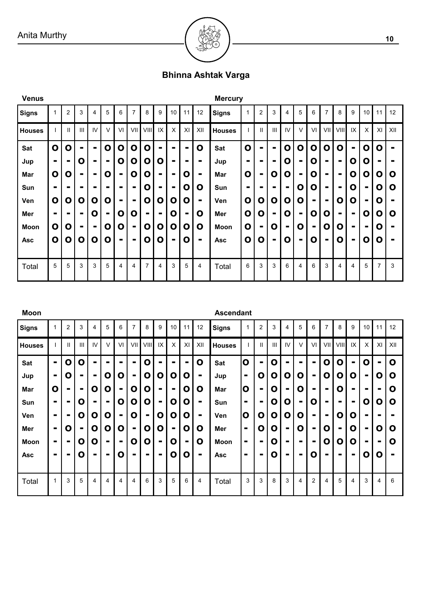

# **Bhinna Ashtak Varga**

| <b>Venus</b>  |              |              |                |                |                |                |                |                |                |                |                |                | <b>Mercury</b> |                |              |                |    |                |                |                |                |                |                |                |     |
|---------------|--------------|--------------|----------------|----------------|----------------|----------------|----------------|----------------|----------------|----------------|----------------|----------------|----------------|----------------|--------------|----------------|----|----------------|----------------|----------------|----------------|----------------|----------------|----------------|-----|
| Signs         | 1            | 2            | 3              | 4              | 5              | 6              | 7              | 8              | 9              | 10             | 11             | 12             | Signs          |                | 2            | 3              | 4  | 5              | 6              | 7              | 8              | 9              | 10             | 11             | 12  |
| <b>Houses</b> |              | $\mathbf{I}$ | Ш              | IV             | $\vee$         | VI             | VII            | VIII           | IX             | X              | XI             | XII            | <b>Houses</b>  |                | $\mathbf{I}$ | Ш              | IV | V              | VI             | VII            | VIII           | IX             | X              | XI             | XII |
| Sat           | $\mathbf 0$  | O            | $\blacksquare$ | $\blacksquare$ | O              | 0              | $\mathbf o$    | $\mathbf{o}$   |                |                |                | O              | Sat            | $\mathbf 0$    | -            |                | O  | O              | 0              | Ο              | О              | $\blacksquare$ | O              | Ο              |     |
| Jup           | Ξ.           | -            | O              | -              | $\blacksquare$ | O              | O              | 0              | O              | Ξ.             | ۰              | $\blacksquare$ | Jup            | $\blacksquare$ |              | $\blacksquare$ | O  |                | 0              | $\blacksquare$ | $\blacksquare$ | 0              | Ο              | $\blacksquare$ |     |
| Mar           | $\mathbf{o}$ | O            | $\blacksquare$ | $\blacksquare$ | 0              | ۰.             | Ο              | Ο              | -              | $\blacksquare$ | O              | $\blacksquare$ | Mar            | $\mathbf 0$    |              | O              | Ο  | $\blacksquare$ | 0              | $\blacksquare$ | $\blacksquare$ | $\mathbf{o}$   | O              | O              | O   |
| Sun           | Ξ.           |              |                | -              | $\blacksquare$ |                | $\blacksquare$ | Ο              |                | $\blacksquare$ | O              | O              | Sun            | $\blacksquare$ | -            |                | -  | O              | 0              |                | $\blacksquare$ | O              |                | O              | O   |
| Ven           | $\mathbf{o}$ | O            | O              | O              | O              | $\blacksquare$ | $\blacksquare$ | O              | O              | O              | O              | $\blacksquare$ | Ven            | $\mathbf{o}$   | O            | O              | O  | O              | $\blacksquare$ | $\blacksquare$ | O              | O              | $\blacksquare$ | O              |     |
| Mer           |              | -            | $\blacksquare$ | O              | $\blacksquare$ | Ο              | O              | $\blacksquare$ | $\blacksquare$ | O              | $\blacksquare$ | O              | Mer            | $\mathbf{o}$   | Ο            | $\blacksquare$ | O  | $\blacksquare$ | O              | O              | $\blacksquare$ | $\blacksquare$ | O              | Ο              | O   |
| Moon          | $\mathbf{o}$ | Ο            | $\blacksquare$ |                | O              | O              | $\blacksquare$ | O              | O              | $\mathbf{o}$   | O              | O              | Moon           | $\mathbf 0$    |              | O              |    | O              | $\blacksquare$ | Ο              | 0              |                |                | 0              |     |
| <b>Asc</b>    | $\mathbf{o}$ | O            | O              | O              | 0              | $\blacksquare$ | $\blacksquare$ | O              | O              | $\blacksquare$ | O              | $\blacksquare$ | <b>Asc</b>     | $\mathbf 0$    | O            | $\blacksquare$ | O  |                | O              | $\blacksquare$ | O              | $\blacksquare$ | Ο              | O              |     |
|               |              |              |                |                |                |                |                |                |                |                |                |                |                |                |              |                |    |                |                |                |                |                |                |                |     |
| Total         | 5            | 5            | 3              | 3              | 5              | 4              | 4              | 7              | 4              | 3              | 5              | 4              | Total          | 6              | 3            | 3              | 6  | 4              | 6              | 3              | 4              | 4              | 5              | $\overline{7}$ | 3   |

| <b>Moon</b>   |                |                |                |                |                |                |                |                |                |                |                          |                | <b>Ascendant</b> |                |                |   |                |                |                |                |                |                |                |                |                |
|---------------|----------------|----------------|----------------|----------------|----------------|----------------|----------------|----------------|----------------|----------------|--------------------------|----------------|------------------|----------------|----------------|---|----------------|----------------|----------------|----------------|----------------|----------------|----------------|----------------|----------------|
| <b>Signs</b>  | 1              | $\overline{2}$ | 3              | 4              | 5              | 6              | 7              | 8              | 9              | 10             | 11                       | 12             | Signs            | 1              | $\overline{2}$ | 3 | 4              | 5              | 6              | 7              | 8              | 9              | 10             | 11             | 12             |
| <b>Houses</b> |                | Ш              | $\mathbf{III}$ | IV             | $\vee$         | V <sub>l</sub> | VII            | VIII           | IX             | X              | XI                       | XII            | <b>Houses</b>    |                | $\mathbf{I}$   | Ш | IV             | V              | VI             | VII            | VIII           | IX             | X              | XI             | XII            |
| Sat           | $\blacksquare$ | O              | O              | $\blacksquare$ |                | -              | -              | O              | -              | ۰.             | -                        | O              | Sat              | $\mathbf{o}$   | $\blacksquare$ | Ο | ۰.             | -              | $\blacksquare$ | O              | O              | $\blacksquare$ | O              | $\blacksquare$ | $\mathbf O$    |
| Jup           | $\blacksquare$ | O              | $\blacksquare$ | ۰.             | O              | O              | $\blacksquare$ | O              | O              | O              | O                        | $\blacksquare$ | Jup              | $\blacksquare$ | O              | Ο | O              | Ο              | $\blacksquare$ | O              | O              | Ο              | $\blacksquare$ | O              | $\mathbf o$    |
| Mar           | $\mathbf 0$    | -              | $\blacksquare$ | Ο              | 0              | -              | O              | O              | ۰              | $\blacksquare$ | O                        | O              | Mar              | $\mathbf 0$    | Ξ.             | O | ۰              | O              | $\blacksquare$ |                | 0              |                |                |                | O              |
| Sun           |                |                | Ο              | ۰.             | $\blacksquare$ | O              | O              | O              | $\blacksquare$ | O              | Ο                        | $\blacksquare$ | Sun              | ۰              |                | O | Ο              | $\blacksquare$ | 0              | $\blacksquare$ | ۰.             |                | O              | 0              | O              |
| Ven           | $\blacksquare$ | $\blacksquare$ | 0              | 0              | Ο              | -              | Ο              | $\blacksquare$ | O              | O              | Ο                        | $\blacksquare$ | Ven              | $\mathbf 0$    | 0              | Ο | O              | O              | $\blacksquare$ | $\blacksquare$ | 0              | 0              |                |                |                |
| Mer           | $\blacksquare$ | O              | $\blacksquare$ | $\mathbf{o}$   | O              | O              |                | O              | O              | $\blacksquare$ | O                        | O              | Mer              | $\blacksquare$ | $\mathbf 0$    | O | $\blacksquare$ | Ο              | $\blacksquare$ | O              | $\blacksquare$ | O              | $\blacksquare$ | O              | O              |
| Moon          | $\blacksquare$ |                | Ο              | Ο              | $\blacksquare$ |                | O              | O              | $\blacksquare$ | O              | $\overline{\phantom{a}}$ | O              | <b>Moon</b>      | ۰              |                | O |                |                | ٠              | O              | Ο              | O              | ٠              |                | O              |
| <b>Asc</b>    | $\blacksquare$ |                | O              | ۰.             | $\blacksquare$ | O              |                | $\blacksquare$ | $\blacksquare$ | O              | O                        | $\blacksquare$ | <b>Asc</b>       | ۰              | -              | O |                |                | O              | -              | ۰.             |                | O              | O              | $\blacksquare$ |
|               |                |                |                |                |                |                |                |                |                |                |                          |                |                  |                |                |   |                |                |                |                |                |                |                |                |                |
| Total         | 1              | 3              | 5              | 4              | 4              | 4              | 4              | 6              | 3              | 5              | 6                        | 4              | Total            | 3              | 3              | 8 | 3              | 4              | $\overline{2}$ | 4              | 5              | 4              | 3              | 4              | 6              |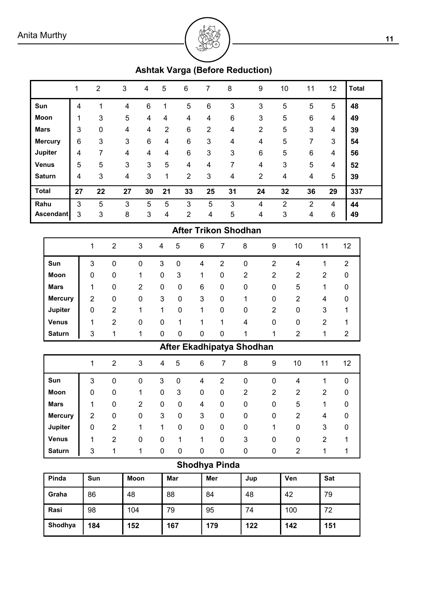

# **Ashtak Varga (Before Reduction)**

|                |    | $\overline{2}$ | 3          | 4  | 5                       | 6              | 7              | 8              | 9              | 10 | 11 | 12 | <b>Total</b> |
|----------------|----|----------------|------------|----|-------------------------|----------------|----------------|----------------|----------------|----|----|----|--------------|
| Sun            | 4  |                | 4          | 6  |                         | 5              | 6              | 3              | 3              | 5  | 5  | 5  | 48           |
| Moon           | 1  | 3              | $\sqrt{5}$ | 4  | 4                       | 4              | 4              | $6\phantom{1}$ | 3              | 5  | 6  | 4  | 49           |
| <b>Mars</b>    | 3  | $\mathbf 0$    | 4          | 4  | 2                       | 6              | $\overline{2}$ | 4              | $\overline{2}$ | 5  | 3  | 4  | 39           |
| <b>Mercury</b> | 6  | 3              | 3          | 6  | 4                       | 6              | 3              | 4              | 4              | 5  | 7  | 3  | 54           |
| <b>Jupiter</b> | 4  | 7              | 4          | 4  | 4                       | 6              | 3              | 3              | 6              | 5  | 6  | 4  | 56           |
| <b>Venus</b>   | 5  | 5              | 3          | 3  | 5                       | 4              | 4              | 7              | 4              | 3  | 5  | 4  | 52           |
| <b>Saturn</b>  | 4  | 3              | 4          | 3  | 1                       | $\overline{2}$ | 3              | 4              | $\overline{2}$ | 4  | 4  | 5  | 39           |
| <b>Total</b>   | 27 | 22             | 27         | 30 | 21                      | 33             | 25             | 31             | 24             | 32 | 36 | 29 | 337          |
| Rahu           | 3  | 5              | 3          | 5  | 5                       | 3              | 5              | 3              | 4              | 2  | 2  | 4  | 44           |
| Ascendant      | 3  | 3              | 8          | 3  | $\overline{\mathbf{4}}$ | $\overline{2}$ | 4              | 5              | 4              | 3  | 4  | 6  | 49           |

## **After Trikon Shodhan**

|                |   | 2           | 3              | 4 | 5 | 6 | 7           | 8 | 9              | 10 | 11             | 12             |
|----------------|---|-------------|----------------|---|---|---|-------------|---|----------------|----|----------------|----------------|
| Sun            | 3 | $\mathbf 0$ | 0              | 3 | 0 | 4 | 2           | 0 | $\overline{2}$ | 4  |                | $\overline{2}$ |
| Moon           | 0 | $\mathbf 0$ | 1              | 0 | 3 | 1 | $\mathbf 0$ | 2 | 2              | 2  | 2              | 0              |
| <b>Mars</b>    | 1 | 0           | $\overline{2}$ | 0 | 0 | 6 | 0           | 0 | 0              | 5  |                | 0              |
| <b>Mercury</b> | 2 | 0           | $\mathbf{0}$   | 3 | 0 | 3 | 0           |   | 0              | 2  | 4              | 0              |
| Jupiter        | 0 | 2           | 1              |   | 0 | 1 | 0           | 0 | 2              | 0  | 3              |                |
| <b>Venus</b>   | 1 | 2           | 0              | 0 |   | 1 | 1           | 4 | 0              | 0  | $\overline{2}$ |                |
| <b>Saturn</b>  | 3 | 1           | 1              | 0 | 0 | 0 | 0           | 1 | 1              | 2  |                | 2              |

# **After Ekadhipatya Shodhan**

|                | 1              | 2              | 3 | 4 | 5 | 6 |                | 8           | 9 | 10 | 11 | 12 |
|----------------|----------------|----------------|---|---|---|---|----------------|-------------|---|----|----|----|
| Sun            | 3              | 0              | 0 | 3 | 0 | 4 | $\overline{2}$ | 0           | 0 | 4  |    | 0  |
| Moon           | 0              | 0              | 1 | 0 | 3 | 0 | 0              | 2           | 2 | 2  | 2  | 0  |
| <b>Mars</b>    | 1              | 0              | 2 | 0 | 0 | 4 | 0              | 0           | 0 | 5  | 1  | 0  |
| <b>Mercury</b> | $\overline{2}$ | 0              | 0 | 3 | 0 | 3 | 0              | $\pmb{0}$   | 0 | 2  | 4  | 0  |
| Jupiter        | 0              | $\overline{2}$ | 1 | 1 | 0 | 0 | 0              | $\mathbf 0$ | 1 | 0  | 3  | 0  |
| <b>Venus</b>   | 1              | $\overline{2}$ | 0 | 0 |   | 1 | 0              | 3           | 0 | 0  | 2  | 1  |
| <b>Saturn</b>  | 3              | 1              | 1 | 0 | 0 | 0 | 0              | $\mathbf 0$ | 0 | 2  | 1  |    |

# **Shodhya Pinda**

| Pinda   | <b>Sun</b> | Moon | Mar | Mer | Jup | Ven | <b>Sat</b> |
|---------|------------|------|-----|-----|-----|-----|------------|
| Graha   | 86         | 48   | 88  | 84  | 48  | 42  | 79         |
| Rasi    | 98         | 104  | 79  | 95  | 74  | 100 | 72         |
| Shodhya | 184        | 152  | 167 | 179 | 122 | 142 | 151        |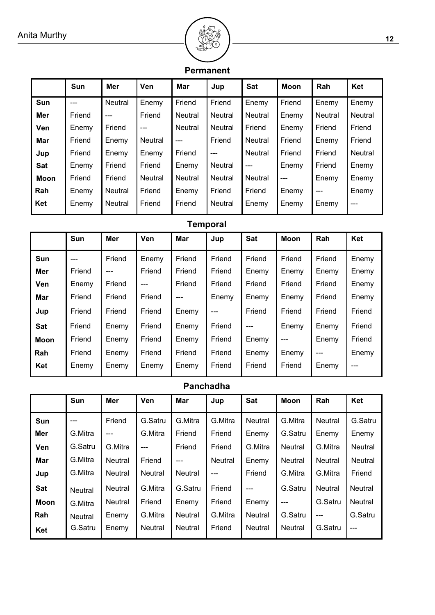

## **Permanent**

|            | Sun    | Mer            | Ven     | Mar            | Jup     | <b>Sat</b>     | <b>Moon</b> | Rah            | Ket            |
|------------|--------|----------------|---------|----------------|---------|----------------|-------------|----------------|----------------|
| Sun        | $---$  | <b>Neutral</b> | Enemy   | Friend         | Friend  | Enemy          | Friend      | Enemy          | Enemy          |
| Mer        | Friend | ---            | Friend  | <b>Neutral</b> | Neutral | Neutral        | Enemy       | <b>Neutral</b> | <b>Neutral</b> |
| <b>Ven</b> | Enemy  | Friend         | $---$   | Neutral        | Neutral | Friend         | Enemy       | Friend         | Friend         |
| Mar        | Friend | Enemy          | Neutral | $---$          | Friend  | <b>Neutral</b> | Friend      | Enemy          | Friend         |
| Jup        | Friend | Enemy          | Enemy   | Friend         | $---$   | <b>Neutral</b> | Friend      | Friend         | Neutral        |
| Sat        | Enemy  | Friend         | Friend  | Enemy          | Neutral | ---            | Enemy       | Friend         | Enemy          |
| Moon       | Friend | Friend         | Neutral | Neutral        | Neutral | Neutral        | ---         | Enemy          | Enemy          |
| Rah        | Enemy  | <b>Neutral</b> | Friend  | Enemy          | Friend  | Friend         | Enemy       | ---            | Enemy          |
| Ket        | Enemy  | <b>Neutral</b> | Friend  | Friend         | Neutral | Enemy          | Enemy       | Enemy          | ---            |

# **Temporal**

|             | Sun    | Mer    | Ven    | Mar    | Jup    | Sat    | <b>Moon</b> | Rah    | Ket    |
|-------------|--------|--------|--------|--------|--------|--------|-------------|--------|--------|
| Sun         | ---    | Friend | Enemy  | Friend | Friend | Friend | Friend      | Friend | Enemy  |
| Mer         | Friend | $---$  | Friend | Friend | Friend | Enemy  | Enemy       | Enemy  | Enemy  |
| Ven         | Enemy  | Friend | ---    | Friend | Friend | Friend | Friend      | Friend | Enemy  |
| Mar         | Friend | Friend | Friend |        | Enemy  | Enemy  | Enemy       | Friend | Enemy  |
| Jup         | Friend | Friend | Friend | Enemy  | $---$  | Friend | Friend      | Friend | Friend |
| <b>Sat</b>  | Friend | Enemy  | Friend | Enemy  | Friend | ---    | Enemy       | Enemy  | Friend |
| <b>Moon</b> | Friend | Enemy  | Friend | Enemy  | Friend | Enemy  | ---         | Enemy  | Friend |
| Rah         | Friend | Enemy  | Friend | Friend | Friend | Enemy  | Enemy       | ---    | Enemy  |
| Ket         | Enemy  | Enemy  | Enemy  | Enemy  | Friend | Friend | Friend      | Enemy  | ---    |

# **Panchadha**

|             | Sun            | Mer            | Ven     | <b>Mar</b>     | Jup     | Sat            | <b>Moon</b>    | Rah            | Ket            |
|-------------|----------------|----------------|---------|----------------|---------|----------------|----------------|----------------|----------------|
| Sun         | ---            | Friend         | G.Satru | G.Mitra        | G.Mitra | <b>Neutral</b> | G.Mitra        | Neutral        | G.Satru        |
| Mer         | G.Mitra        | ---            | G.Mitra | Friend         | Friend  | Enemy          | G.Satru        | Enemy          | Enemy          |
| Ven         | G.Satru        | G.Mitra        | ---     | Friend         | Friend  | G.Mitra        | <b>Neutral</b> | G.Mitra        | <b>Neutral</b> |
| Mar         | G.Mitra        | <b>Neutral</b> | Friend  | ---            | Neutral | Enemy          | Neutral        | <b>Neutral</b> | <b>Neutral</b> |
| Jup         | G.Mitra        | <b>Neutral</b> | Neutral | <b>Neutral</b> | ---     | Friend         | G.Mitra        | G.Mitra        | Friend         |
| Sat         | <b>Neutral</b> | <b>Neutral</b> | G.Mitra | G.Satru        | Friend  | ---            | G.Satru        | <b>Neutral</b> | <b>Neutral</b> |
| <b>Moon</b> | G.Mitra        | Neutral        | Friend  | Enemy          | Friend  | Enemy          | ---            | G.Satru        | <b>Neutral</b> |
| Rah         | Neutral        | Enemy          | G.Mitra | Neutral        | G.Mitra | Neutral        | G.Satru        | ---            | G.Satru        |
| Ket         | G.Satru        | Enemy          | Neutral | <b>Neutral</b> | Friend  | Neutral        | Neutral        | G.Satru        | $---$          |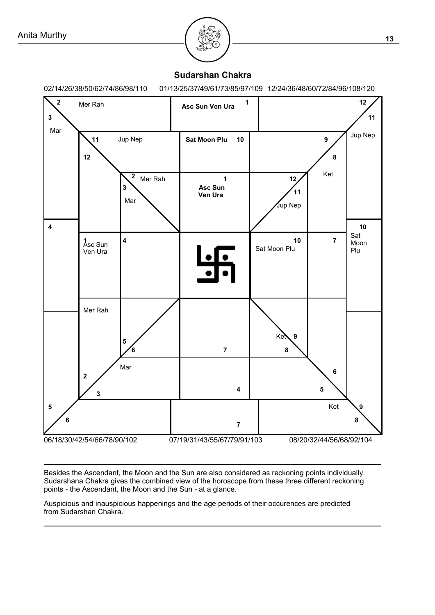

#### **Sudarshan Chakra**

02/14/26/38/50/62/74/86/98/110 01/13/25/37/49/61/73/85/97/109 12/24/36/48/60/72/84/96/108/120



Besides the Ascendant, the Moon and the Sun are also considered as reckoning points individually. Sudarshana Chakra gives the combined view of the horoscope from these three different reckoning points - the Ascendant, the Moon and the Sun - at a glance.

Auspicious and inauspicious happenings and the age periods of their occurences are predicted from Sudarshan Chakra.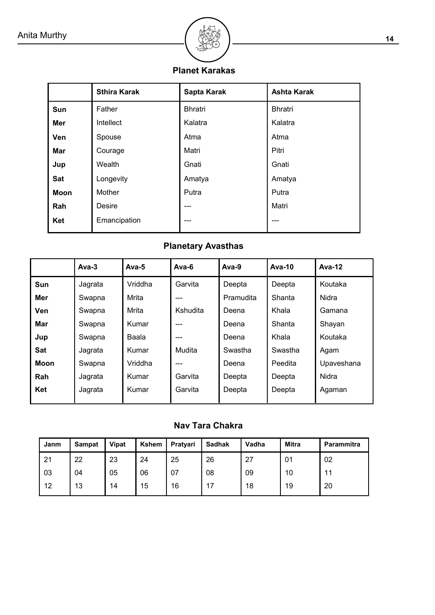

# **Planet Karakas**

|             | <b>Sthira Karak</b> | Sapta Karak    | <b>Ashta Karak</b> |  |
|-------------|---------------------|----------------|--------------------|--|
| Sun         | Father              | <b>Bhratri</b> | <b>Bhratri</b>     |  |
| Mer         | Intellect           | Kalatra        | Kalatra            |  |
| Ven         | Spouse              | Atma           | Atma               |  |
| Mar         | Courage             | Matri          | Pitri              |  |
| Jup         | Wealth              | Gnati          | Gnati              |  |
| Sat         | Longevity           | Amatya         | Amatya             |  |
| <b>Moon</b> | Mother              | Putra          | Putra              |  |
| Rah         | Desire              | ---            | Matri              |  |
| Ket         | Emancipation        | ---            | ---                |  |

# **Planetary Avasthas**

|             | $Ava-3$ | Ava- $5$ | Ava-6    | Ava-9     | Ava-10  | Ava-12     |
|-------------|---------|----------|----------|-----------|---------|------------|
| <b>Sun</b>  | Jagrata | Vriddha  | Garvita  | Deepta    | Deepta  | Koutaka    |
| Mer         | Swapna  | Mrita    | ---      | Pramudita | Shanta  | Nidra      |
| Ven         | Swapna  | Mrita    | Kshudita | Deena     | Khala   | Gamana     |
| Mar         | Swapna  | Kumar    |          | Deena     | Shanta  | Shayan     |
| Jup         | Swapna  | Baala    | ---      | Deena     | Khala   | Koutaka    |
| Sat         | Jagrata | Kumar    | Mudita   | Swastha   | Swastha | Agam       |
| <b>Moon</b> | Swapna  | Vriddha  | ---      | Deena     | Peedita | Upaveshana |
| Rah         | Jagrata | Kumar    | Garvita  | Deepta    | Deepta  | Nidra      |
| Ket         | Jagrata | Kumar    | Garvita  | Deepta    | Deepta  | Agaman     |

# **Nav Tara Chakra**

| Janm | <b>Sampat</b> | <b>Vipat</b> | Kshem | Pratyari | <b>Sadhak</b> | Vadha | Mitra | <b>Parammitra</b> |
|------|---------------|--------------|-------|----------|---------------|-------|-------|-------------------|
| 21   | 22            | 23           | 24    | 25       | 26            | 27    | 01    | 02                |
| 03   | 04            | 05           | 06    | 07       | 08            | 09    | 10    | 11                |
| 12   | 13            | 14           | 15    | 16       | 17            | 18    | 19    | 20                |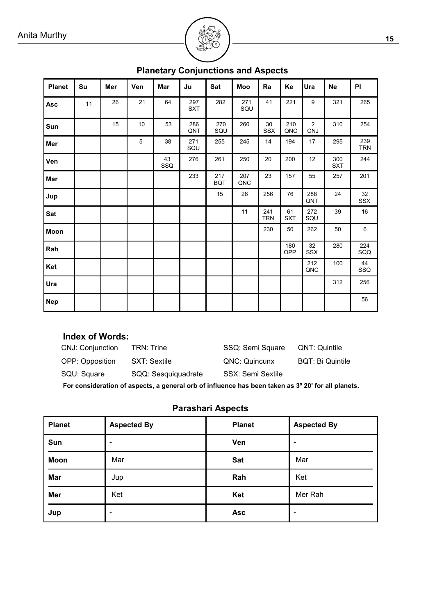| <b>Planet</b> | Su | Mer | Ven | Mar       | Ju                | Sat               | Moo            | Ra                | Ke               | Ura                      | <b>Ne</b>         | PI                |
|---------------|----|-----|-----|-----------|-------------------|-------------------|----------------|-------------------|------------------|--------------------------|-------------------|-------------------|
| Asc           | 11 | 26  | 21  | 64        | 297<br><b>SXT</b> | 282               | $271\,$<br>SQU | 41                | 221              | 9                        | 321               | 265               |
| Sun           |    | 15  | 10  | 53        | 286<br>QNT        | 270<br>SQU        | 260            | 30<br>SSX         | 210<br>QNC       | $\sqrt{2}$<br><b>CNJ</b> | 310               | 254               |
| Mer           |    |     | 5   | 38        | 271<br>SQU        | 255               | 245            | 14                | 194              | 17                       | 295               | 239<br><b>TRN</b> |
| Ven           |    |     |     | 43<br>SSQ | 276               | 261               | 250            | 20                | 200              | 12                       | 300<br><b>SXT</b> | 244               |
| Mar           |    |     |     |           | 233               | 217<br><b>BQT</b> | 207<br>QNC     | 23                | 157              | 55                       | 257               | 201               |
| Jup           |    |     |     |           |                   | 15                | 26             | 256               | 76               | 288<br>QNT               | 24                | 32<br>SSX         |
| Sat           |    |     |     |           |                   |                   | 11             | 241<br><b>TRN</b> | 61<br><b>SXT</b> | 272<br>SQU               | 39                | $16\,$            |
| Moon          |    |     |     |           |                   |                   |                | 230               | 50               | 262                      | 50                | $\,6\,$           |
| Rah           |    |     |     |           |                   |                   |                |                   | 180<br>OPP       | 32<br>SSX                | 280               | 224<br>SQQ        |
| Ket           |    |     |     |           |                   |                   |                |                   |                  | 212<br>QNC               | 100               | 44<br>SSQ         |
| Ura           |    |     |     |           |                   |                   |                |                   |                  |                          | 312               | 256               |
| <b>Nep</b>    |    |     |     |           |                   |                   |                |                   |                  |                          |                   | 56                |

# **Planetary Conjunctions and Aspects**

# **Index of Words:**

| CNJ: Conjunction | <b>TRN: Trine</b>   | SSQ: Semi Square  | QNT: Quintile           |
|------------------|---------------------|-------------------|-------------------------|
| OPP: Opposition  | SXT: Sextile        | QNC: Quincunx     | <b>BQT: Bi Quintile</b> |
| SQU: Square      | SQQ: Sesquiquadrate | SSX: Semi Sextile |                         |
|                  |                     |                   |                         |

**For consideration of aspects, a general orb of influence has been taken as 3º 20' for all planets.**

# **Parashari Aspects**

| <b>Planet</b> | <b>Aspected By</b> | <b>Planet</b> | <b>Aspected By</b> |
|---------------|--------------------|---------------|--------------------|
| Sun           |                    | Ven           |                    |
| <b>Moon</b>   | Mar                | Sat           | Mar                |
| Mar           | Jup                | Rah           | Ket                |
| Mer           | Ket                | Ket           | Mer Rah            |
| Jup           | -                  | <b>Asc</b>    | ٠                  |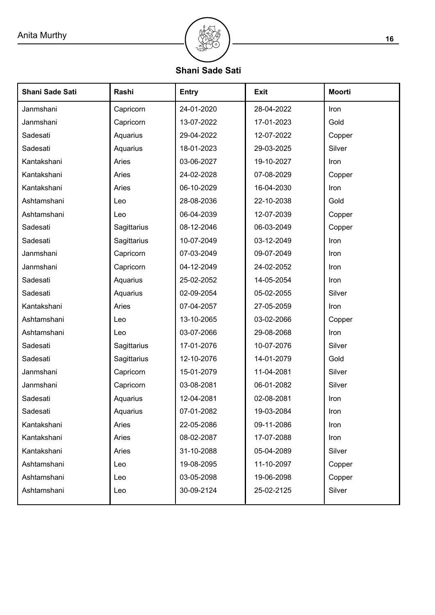

**Shani Sade Sati**

| Shani Sade Sati | Rashi       | <b>Entry</b> | <b>Exit</b> | <b>Moorti</b> |
|-----------------|-------------|--------------|-------------|---------------|
| Janmshani       | Capricorn   | 24-01-2020   | 28-04-2022  | Iron          |
| Janmshani       | Capricorn   | 13-07-2022   | 17-01-2023  | Gold          |
| Sadesati        | Aquarius    | 29-04-2022   | 12-07-2022  | Copper        |
| Sadesati        | Aquarius    | 18-01-2023   | 29-03-2025  | Silver        |
| Kantakshani     | Aries       | 03-06-2027   | 19-10-2027  | Iron          |
| Kantakshani     | Aries       | 24-02-2028   | 07-08-2029  | Copper        |
| Kantakshani     | Aries       | 06-10-2029   | 16-04-2030  | Iron          |
| Ashtamshani     | Leo         | 28-08-2036   | 22-10-2038  | Gold          |
| Ashtamshani     | Leo         | 06-04-2039   | 12-07-2039  | Copper        |
| Sadesati        | Sagittarius | 08-12-2046   | 06-03-2049  | Copper        |
| Sadesati        | Sagittarius | 10-07-2049   | 03-12-2049  | Iron          |
| Janmshani       | Capricorn   | 07-03-2049   | 09-07-2049  | Iron          |
| Janmshani       | Capricorn   | 04-12-2049   | 24-02-2052  | Iron          |
| Sadesati        | Aquarius    | 25-02-2052   | 14-05-2054  | Iron          |
| Sadesati        | Aquarius    | 02-09-2054   | 05-02-2055  | Silver        |
| Kantakshani     | Aries       | 07-04-2057   | 27-05-2059  | Iron          |
| Ashtamshani     | Leo         | 13-10-2065   | 03-02-2066  | Copper        |
| Ashtamshani     | Leo         | 03-07-2066   | 29-08-2068  | Iron          |
| Sadesati        | Sagittarius | 17-01-2076   | 10-07-2076  | Silver        |
| Sadesati        | Sagittarius | 12-10-2076   | 14-01-2079  | Gold          |
| Janmshani       | Capricorn   | 15-01-2079   | 11-04-2081  | Silver        |
| Janmshani       | Capricorn   | 03-08-2081   | 06-01-2082  | Silver        |
| Sadesati        | Aquarius    | 12-04-2081   | 02-08-2081  | Iron          |
| Sadesati        | Aquarius    | 07-01-2082   | 19-03-2084  | Iron          |
| Kantakshani     | Aries       | 22-05-2086   | 09-11-2086  | Iron          |
| Kantakshani     | Aries       | 08-02-2087   | 17-07-2088  | Iron          |
| Kantakshani     | Aries       | 31-10-2088   | 05-04-2089  | Silver        |
| Ashtamshani     | Leo         | 19-08-2095   | 11-10-2097  | Copper        |
| Ashtamshani     | Leo         | 03-05-2098   | 19-06-2098  | Copper        |
| Ashtamshani     | Leo         | 30-09-2124   | 25-02-2125  | Silver        |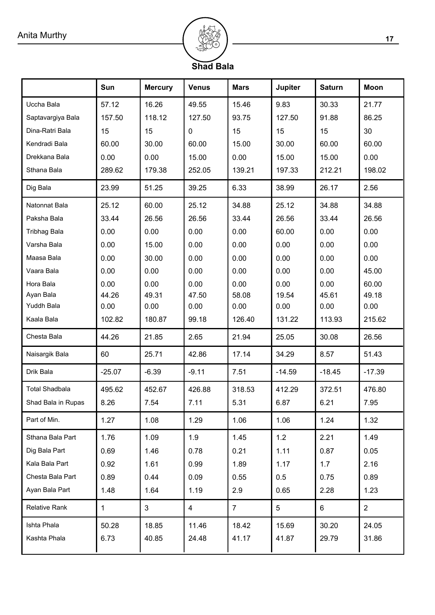

# **Shad Bala**

|                       | Sun          | <b>Mercury</b> | <b>Venus</b>   | <b>Mars</b>    | <b>Jupiter</b> | <b>Saturn</b> | <b>Moon</b>    |
|-----------------------|--------------|----------------|----------------|----------------|----------------|---------------|----------------|
| Uccha Bala            | 57.12        | 16.26          | 49.55          | 15.46          | 9.83           | 30.33         | 21.77          |
| Saptavargiya Bala     | 157.50       | 118.12         | 127.50         | 93.75          | 127.50         | 91.88         | 86.25          |
| Dina-Ratri Bala       | 15           | 15             | 0              | 15             | 15             | 15            | 30             |
| Kendradi Bala         | 60.00        | 30.00          | 60.00          | 15.00          | 30.00          | 60.00         | 60.00          |
| Drekkana Bala         | 0.00         | 0.00           | 15.00          | 0.00           | 15.00          | 15.00         | 0.00           |
| Sthana Bala           | 289.62       | 179.38         | 252.05         | 139.21         | 197.33         | 212.21        | 198.02         |
| Dig Bala              | 23.99        | 51.25          | 39.25          | 6.33           | 38.99          | 26.17         | 2.56           |
| Natonnat Bala         | 25.12        | 60.00          | 25.12          | 34.88          | 25.12          | 34.88         | 34.88          |
| Paksha Bala           | 33.44        | 26.56          | 26.56          | 33.44          | 26.56          | 33.44         | 26.56          |
| <b>Tribhag Bala</b>   | 0.00         | 0.00           | 0.00           | 0.00           | 60.00          | 0.00          | 0.00           |
| Varsha Bala           | 0.00         | 15.00          | 0.00           | 0.00           | 0.00           | 0.00          | 0.00           |
| Maasa Bala            | 0.00         | 30.00          | 0.00           | 0.00           | 0.00           | 0.00          | 0.00           |
| Vaara Bala            | 0.00         | 0.00           | 0.00           | 0.00           | 0.00           | 0.00          | 45.00          |
| Hora Bala             | 0.00         | 0.00           | 0.00           | 0.00           | 0.00           | 0.00          | 60.00          |
| Ayan Bala             | 44.26        | 49.31          | 47.50          | 58.08          | 19.54          | 45.61         | 49.18          |
| Yuddh Bala            | 0.00         | 0.00           | 0.00           | 0.00           | 0.00           | 0.00          | 0.00           |
| Kaala Bala            | 102.82       | 180.87         | 99.18          | 126.40         | 131.22         | 113.93        | 215.62         |
| Chesta Bala           | 44.26        | 21.85          | 2.65           | 21.94          | 25.05          | 30.08         | 26.56          |
| Naisargik Bala        | 60           | 25.71          | 42.86          | 17.14          | 34.29          | 8.57          | 51.43          |
| Drik Bala             | $-25.07$     | $-6.39$        | $-9.11$        | 7.51           | $-14.59$       | $-18.45$      | $-17.39$       |
| <b>Total Shadbala</b> | 495.62       | 452.67         | 426.88         | 318.53         | 412.29         | 372.51        | 476.80         |
| Shad Bala in Rupas    | 8.26         | 7.54           | 7.11           | 5.31           | 6.87           | 6.21          | 7.95           |
| Part of Min.          | 1.27         | 1.08           | 1.29           | 1.06           | 1.06           | 1.24          | 1.32           |
| Sthana Bala Part      | 1.76         | 1.09           | 1.9            | 1.45           | 1.2            | 2.21          | 1.49           |
| Dig Bala Part         | 0.69         | 1.46           | 0.78           | 0.21           | 1.11           | 0.87          | 0.05           |
| Kala Bala Part        | 0.92         | 1.61           | 0.99           | 1.89           | 1.17           | 1.7           | 2.16           |
| Chesta Bala Part      | 0.89         | 0.44           | 0.09           | 0.55           | 0.5            | 0.75          | 0.89           |
| Ayan Bala Part        | 1.48         | 1.64           | 1.19           | 2.9            | 0.65           | 2.28          | 1.23           |
| <b>Relative Rank</b>  | $\mathbf{1}$ | 3              | $\overline{4}$ | $\overline{7}$ | 5              | 6             | $\overline{2}$ |
| Ishta Phala           | 50.28        | 18.85          | 11.46          | 18.42          | 15.69          | 30.20         | 24.05          |
| Kashta Phala          | 6.73         | 40.85          | 24.48          | 41.17          | 41.87          | 29.79         | 31.86          |
|                       |              |                |                |                |                |               |                |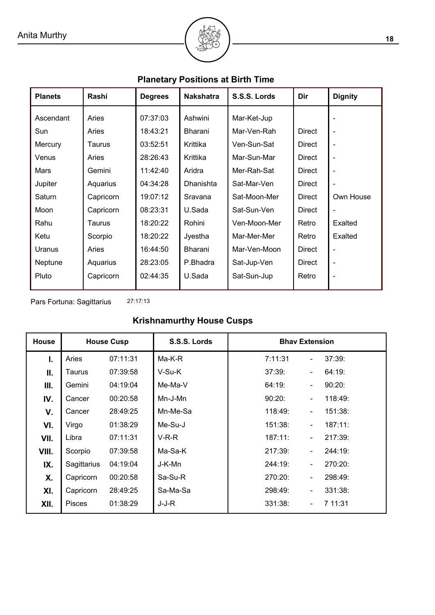# **Planetary Positions at Birth Time**

**BOOT** 

| <b>Planets</b> | Rashi     | <b>Degrees</b> | <b>Nakshatra</b> | S.S.S. Lords | Dir           | <b>Dignity</b>           |
|----------------|-----------|----------------|------------------|--------------|---------------|--------------------------|
| Ascendant      | Aries     | 07:37:03       | Ashwini          | Mar-Ket-Jup  |               |                          |
| Sun            | Aries     | 18:43:21       | Bharani          | Mar-Ven-Rah  | <b>Direct</b> | $\overline{\phantom{0}}$ |
| Mercury        | Taurus    | 03:52:51       | Krittika         | Ven-Sun-Sat  | Direct        | $\blacksquare$           |
| Venus          | Aries     | 28:26:43       | Krittika         | Mar-Sun-Mar  | Direct        | $\overline{\phantom{0}}$ |
| Mars           | Gemini    | 11:42:40       | Aridra           | Mer-Rah-Sat  | <b>Direct</b> | $\overline{\phantom{0}}$ |
| Jupiter        | Aquarius  | 04:34:28       | Dhanishta        | Sat-Mar-Ven  | Direct        | $\blacksquare$           |
| Saturn         | Capricorn | 19:07:12       | Sravana          | Sat-Moon-Mer | <b>Direct</b> | Own House                |
| Moon           | Capricorn | 08:23:31       | U.Sada           | Sat-Sun-Ven  | Direct        | $\overline{\phantom{0}}$ |
| Rahu           | Taurus    | 18:20:22       | Rohini           | Ven-Moon-Mer | Retro         | Exalted                  |
| Ketu           | Scorpio   | 18:20:22       | Jyestha          | Mar-Mer-Mer  | Retro         | Exalted                  |
| Uranus         | Aries     | 16:44:50       | Bharani          | Mar-Ven-Moon | <b>Direct</b> | $\overline{\phantom{0}}$ |
| Neptune        | Aquarius  | 28:23:05       | P.Bhadra         | Sat-Jup-Ven  | <b>Direct</b> | $\overline{\phantom{0}}$ |
| Pluto          | Capricorn | 02:44:35       | U.Sada           | Sat-Sun-Jup  | Retro         | $\overline{\phantom{0}}$ |

27:17:13 Pars Fortuna: Sagittarius

# **Krishnamurthy House Cusps**

| <b>House</b> | <b>House Cusp</b> |          | S.S.S. Lords | <b>Bhav Extension</b>                          |
|--------------|-------------------|----------|--------------|------------------------------------------------|
| Ъ.           | Aries             | 07:11:31 | Ma-K-R       | 7:11:31<br>37:39:                              |
| Ⅱ.           | Taurus            | 07:39:58 | V-Su-K       | 37:39:<br>64:19:<br>۰                          |
| Ш.           | Gemini            | 04:19:04 | Me-Ma-V      | 64:19:<br>90:20:<br>$\overline{\phantom{0}}$   |
| IV.          | Cancer            | 00:20:58 | Mn-J-Mn      | 90:20:<br>118:49:<br>$\overline{\phantom{0}}$  |
| V.           | Cancer            | 28:49:25 | Mn-Me-Sa     | 118:49:<br>151:38:<br>۰                        |
| VI.          | Virgo             | 01:38:29 | Me-Su-J      | 187:11:<br>151:38:<br>$\overline{\phantom{0}}$ |
| VII.         | Libra             | 07:11:31 | $V-R-R$      | 187:11:<br>217:39:<br>$\overline{\phantom{0}}$ |
| VIII.        | Scorpio           | 07:39:58 | Ma-Sa-K      | 217:39:<br>244:19:<br>۰                        |
| IX.          | Sagittarius       | 04:19:04 | J-K-Mn       | 244:19:<br>270:20:                             |
| Х.           | Capricorn         | 00:20:58 | Sa-Su-R      | 270:20:<br>298:49:<br>۰                        |
| XI.          | Capricorn         | 28:49:25 | Sa-Ma-Sa     | 298:49:<br>331:38:<br>$\overline{\phantom{0}}$ |
| XII.         | <b>Pisces</b>     | 01:38:29 | J-J-R        | 331:38:<br>7 11:31                             |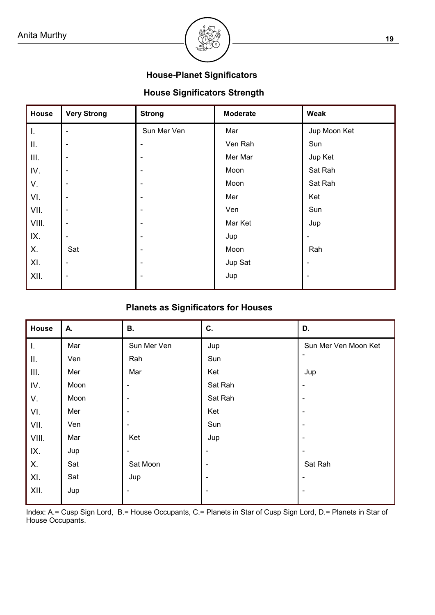

### **House-Planet Significators**

# **House Significators Strength**

| House | <b>Very Strong</b>       | <b>Strong</b>  | <b>Moderate</b> | Weak         |
|-------|--------------------------|----------------|-----------------|--------------|
| I.    | $\overline{\phantom{0}}$ | Sun Mer Ven    | Mar             | Jup Moon Ket |
| Ш.    | $\overline{\phantom{0}}$ | ۰              | Ven Rah         | Sun          |
| Ш.    | $\overline{a}$           | $\blacksquare$ | Mer Mar         | Jup Ket      |
| IV.   | $\blacksquare$           | $\blacksquare$ | Moon            | Sat Rah      |
| V.    | $\overline{\phantom{0}}$ | ۰              | Moon            | Sat Rah      |
| VI.   | $\overline{a}$           | ۰              | Mer             | Ket          |
| VII.  | $\blacksquare$           | ۰              | Ven             | Sun          |
| VIII. | $\overline{\phantom{0}}$ | ۰              | Mar Ket         | Jup          |
| IX.   | $\overline{a}$           | ۰              | Jup             |              |
| Х.    | Sat                      | $\blacksquare$ | Moon            | Rah          |
| XI.   | $\blacksquare$           | ۰              | Jup Sat         |              |
| XII.  | $\blacksquare$           | ۰              | Jup             |              |
|       |                          |                |                 |              |

## **Planets as Significators for Houses**

| House | А.   | В.                       | C.                       | D.                   |
|-------|------|--------------------------|--------------------------|----------------------|
| T.    | Mar  | Sun Mer Ven              | Jup                      | Sun Mer Ven Moon Ket |
| II.   | Ven  | Rah                      | Sun                      |                      |
| Ш.    | Mer  | Mar                      | Ket                      | Jup                  |
| IV.   | Moon | $\overline{\phantom{a}}$ | Sat Rah                  | $\blacksquare$       |
| V.    | Moon | $\blacksquare$           | Sat Rah                  | ٠                    |
| VI.   | Mer  |                          | Ket                      |                      |
| VII.  | Ven  | $\overline{\phantom{a}}$ | Sun                      |                      |
| VIII. | Mar  | Ket                      | Jup                      |                      |
| IX.   | Jup  | ۰                        | $\overline{\phantom{a}}$ |                      |
| Χ.    | Sat  | Sat Moon                 | $\blacksquare$           | Sat Rah              |
| XI.   | Sat  | Jup                      | -                        |                      |
| XII.  | Jup  | $\overline{\phantom{a}}$ | -                        |                      |
|       |      |                          |                          |                      |

Index: A.= Cusp Sign Lord, B.= House Occupants, C.= Planets in Star of Cusp Sign Lord, D.= Planets in Star of House Occupants.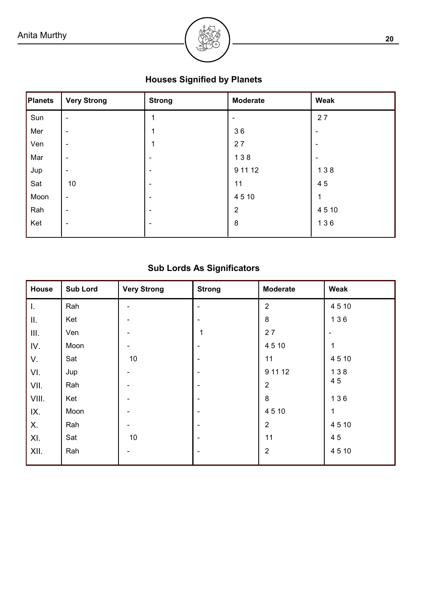

# **Houses Signified by Planets**

| Planets | <b>Very Strong</b>       | <b>Strong</b>            | <b>Moderate</b> | Weak                     |
|---------|--------------------------|--------------------------|-----------------|--------------------------|
| Sun     | $\blacksquare$           |                          |                 | 27                       |
| Mer     | $\blacksquare$           |                          | 36              | $\overline{\phantom{0}}$ |
| Ven     | $\blacksquare$           | 1                        | 27              |                          |
| Mar     | $\blacksquare$           | $\blacksquare$           | 138             | $\blacksquare$           |
| Jup     | $\overline{\phantom{a}}$ | -                        | 9 11 12         | 138                      |
| Sat     | 10                       | $\blacksquare$           | 11              | 45                       |
| Moon    | $\blacksquare$           | $\blacksquare$           | 4510            | 1                        |
| Rah     | $\blacksquare$           | $\overline{\phantom{0}}$ | $\overline{2}$  | 4510                     |
| Ket     | $\overline{\phantom{a}}$ | $\overline{\phantom{0}}$ | 8               | 136                      |
|         |                          |                          |                 |                          |

# **Sub Lords As Significators**

| House | <b>Sub Lord</b> | <b>Very Strong</b> | <b>Strong</b> | <b>Moderate</b> | Weak         |
|-------|-----------------|--------------------|---------------|-----------------|--------------|
| I.    | Rah             |                    |               | $\overline{2}$  | 4510         |
| Ш.    | Ket             |                    |               | $\,8\,$         | 136          |
| III.  | Ven             |                    | 1             | 27              |              |
| IV.   | Moon            |                    | ۰             | 4510            | 1            |
| V.    | Sat             | $10$               |               | 11              | 4510         |
| VI.   | Jup             |                    |               | 9 11 12         | 138          |
| VII.  | Rah             |                    |               | $\overline{2}$  | 45           |
| VIII. | Ket             |                    |               | 8               | 136          |
| IX.   | Moon            |                    |               | 4510            | $\mathbf{1}$ |
| Χ.    | Rah             |                    |               | $\overline{2}$  | 4510         |
| XI.   | Sat             | 10                 |               | 11              | 45           |
| XII.  | Rah             |                    |               | $\overline{2}$  | 4510         |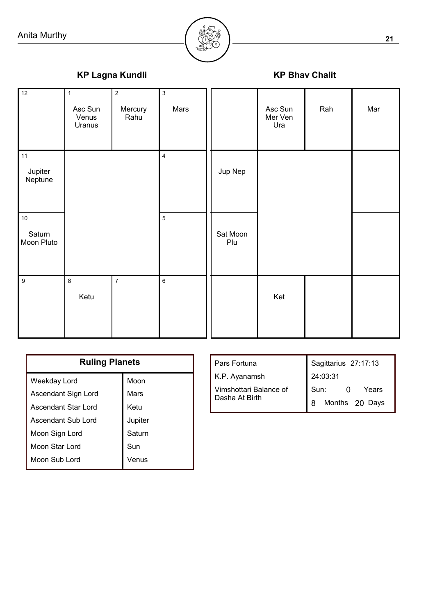

# **KP Lagna Kundli KP Bhav Chalit**

Jupiter Neptune **Saturn** Moon Pluto Ketu Mercury | Mars Rahu Asc Sun Venus Uranus 12 11 10 9 8 7 6 5 4 1 2 3 Jup Nep Sat Moon Plu Ket Asc Sun Rah Mar Mer Ven Ura

| <b>Ruling Planets</b> |         |  |  |
|-----------------------|---------|--|--|
| Weekday Lord          | Moon    |  |  |
| Ascendant Sign Lord   | Mars    |  |  |
| Ascendant Star Lord   | Ketu    |  |  |
| Ascendant Sub Lord    | Jupiter |  |  |
| Moon Sign Lord        | Saturn  |  |  |
| Moon Star Lord        | Sun     |  |  |
| Moon Sub Lord         | Venus   |  |  |

| Pars Fortuna           | Sagittarius 27:17:13 |  |
|------------------------|----------------------|--|
| K.P. Ayanamsh          | 24:03:31             |  |
| Vimshottari Balance of | Years<br>Sun:        |  |
| Dasha At Birth         | Months 20 Days       |  |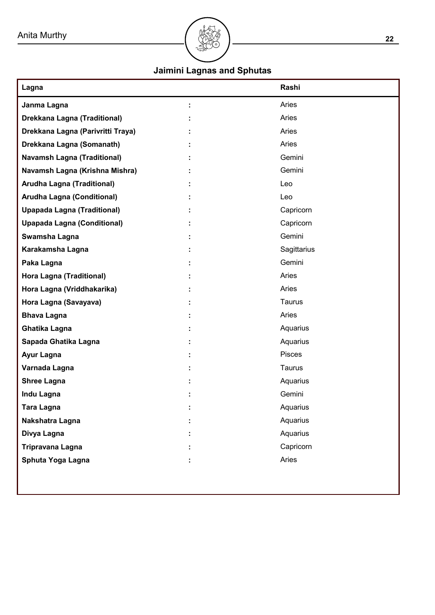

# **Jaimini Lagnas and Sphutas**

| Lagna                              | Rashi       |
|------------------------------------|-------------|
| Janma Lagna                        | Aries       |
| Drekkana Lagna (Traditional)       | Aries       |
| Drekkana Lagna (Parivritti Traya)  | Aries       |
| Drekkana Lagna (Somanath)          | Aries       |
| <b>Navamsh Lagna (Traditional)</b> | Gemini      |
| Navamsh Lagna (Krishna Mishra)     | Gemini      |
| <b>Arudha Lagna (Traditional)</b>  | Leo         |
| Arudha Lagna (Conditional)         | Leo         |
| <b>Upapada Lagna (Traditional)</b> | Capricorn   |
| <b>Upapada Lagna (Conditional)</b> | Capricorn   |
| Swamsha Lagna                      | Gemini      |
| Karakamsha Lagna                   | Sagittarius |
| Paka Lagna                         | Gemini      |
| Hora Lagna (Traditional)           | Aries       |
| Hora Lagna (Vriddhakarika)         | Aries       |
| Hora Lagna (Savayava)              | Taurus      |
| <b>Bhava Lagna</b>                 | Aries       |
| <b>Ghatika Lagna</b>               | Aquarius    |
| Sapada Ghatika Lagna               | Aquarius    |
| Ayur Lagna                         | Pisces      |
| Varnada Lagna                      | Taurus      |
| <b>Shree Lagna</b>                 | Aquarius    |
| <b>Indu Lagna</b>                  | Gemini      |
| Tara Lagna                         | Aquarius    |
| Nakshatra Lagna                    | Aquarius    |
| Divya Lagna                        | Aquarius    |
| Tripravana Lagna                   | Capricorn   |
| Sphuta Yoga Lagna                  | Aries       |
|                                    |             |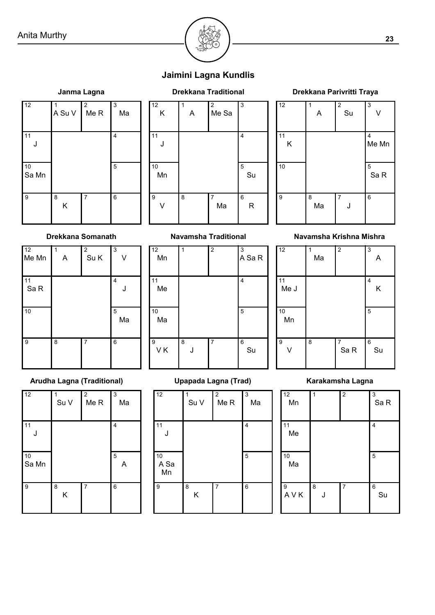

# **Jaimini Lagna Kundlis**

# J Sa Mn K  $A$  Su V  $M$  Me R  $M$  Ma 12 11 10 9 8 7 6 5 4 1 2 3



#### K Ma J Sa R Me Mn  $A \cup Su \cup V$ 12 11 10 9 8 7 6 5 4 1 2 3

#### **Drekkana Somanath Navamsha Traditional**

| 12<br>Me Mn  | A | $\overline{2}$<br>Su K | $\overline{3}$   |
|--------------|---|------------------------|------------------|
| $11$<br>Sa R |   |                        | 4<br>J           |
| 10           |   |                        | $\sqrt{5}$<br>Ma |
| 9            | 8 | 7                      | 6                |

#### Mn Me Ma  $VK$  J J Su A Sa R 12 11 10 9 8 7 6 5 4 1 2 3

#### **Navamsha Krishna Mishra**

| $\overline{12}$ | Ma | $\overline{2}$           | $\overline{3}$<br>Α |
|-----------------|----|--------------------------|---------------------|
| 11<br>Me J      |    |                          | 4<br>Κ              |
| 10<br>Mn        |    |                          | 5                   |
| 9               | 8  | $\boldsymbol{7}$<br>Sa R | 6<br>Su             |

#### **Arudha Lagna (Traditional) Upapada Lagna (Trad) Karakamsha Lagna**

| $\overline{12}$ | Su V   | $\overline{2}$<br>Me R | $\sqrt{3}$<br>Ma    |
|-----------------|--------|------------------------|---------------------|
| 11<br>J         |        |                        | 4                   |
| 10<br>Sa Mn     |        |                        | $\overline{5}$<br>Α |
| l 9             | 8<br>Κ | $\overline{7}$         | 6                   |

| $\overline{12}$  | Su V   | $\overline{2}$<br>Me R | $\overline{3}$<br>Ma |
|------------------|--------|------------------------|----------------------|
| 11<br>J          |        |                        | 4                    |
| 10<br>A Sa<br>Mn |        |                        | 5                    |
| 9                | 8<br>Κ | $\overline{7}$         | 6                    |

| 12<br>Mn                | 1      | $\overline{\mathbf{2}}$ | $\sqrt{3}$<br>Sa R |
|-------------------------|--------|-------------------------|--------------------|
| 11<br>Me                |        |                         | 4                  |
| 10<br>Ma                |        |                         | 5                  |
| $\boldsymbol{9}$<br>AVK | 8<br>J | $\overline{7}$          | $\,6$<br>Su        |

# **Janma Lagna Drekkana Traditional Drekkana Parivritti Traya**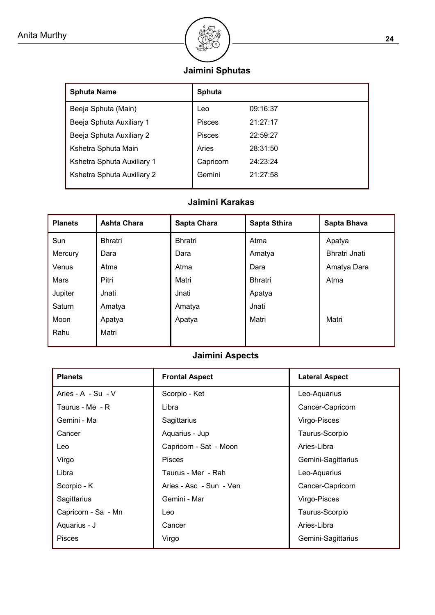

# **Jaimini Sphutas**

| <b>Sphuta Name</b>         | <b>Sphuta</b> |          |
|----------------------------|---------------|----------|
| Beeja Sphuta (Main)        | Leo           | 09:16:37 |
| Beeja Sphuta Auxiliary 1   | <b>Pisces</b> | 21:27:17 |
| Beeja Sphuta Auxiliary 2   | Pisces        | 22:59:27 |
| Kshetra Sphuta Main        | Aries         | 28:31:50 |
| Kshetra Sphuta Auxiliary 1 | Capricorn     | 24:23:24 |
| Kshetra Sphuta Auxiliary 2 | Gemini        | 21:27:58 |

# **Jaimini Karakas**

| <b>Planets</b> | <b>Ashta Chara</b> | Sapta Chara    | Sapta Sthira   | Sapta Bhava          |
|----------------|--------------------|----------------|----------------|----------------------|
| Sun            | <b>Bhratri</b>     | <b>Bhratri</b> | Atma           | Apatya               |
| Mercury        | Dara               | Dara           | Amatya         | <b>Bhratri Jnati</b> |
| Venus          | Atma               | Atma           | Dara           | Amatya Dara          |
| Mars           | Pitri              | Matri          | <b>Bhratri</b> | Atma                 |
| Jupiter        | Jnati              | Jnati          | Apatya         |                      |
| Saturn         | Amatya             | Amatya         | Jnati          |                      |
| Moon           | Apatya             | Apatya         | Matri          | Matri                |
| Rahu           | Matri              |                |                |                      |

## **Jaimini Aspects**

| <b>Planets</b>      | <b>Frontal Aspect</b>   | <b>Lateral Aspect</b> |
|---------------------|-------------------------|-----------------------|
| Aries - A - Su - V  | Scorpio - Ket           | Leo-Aquarius          |
| Taurus - Me - R     | Libra                   | Cancer-Capricorn      |
| Gemini - Ma         | Sagittarius             | Virgo-Pisces          |
| Cancer              | Aquarius - Jup          | Taurus-Scorpio        |
| Leo                 | Capricorn - Sat - Moon  | Aries-Libra           |
| Virgo               | <b>Pisces</b>           | Gemini-Sagittarius    |
| Libra               | Taurus - Mer - Rah      | Leo-Aquarius          |
| Scorpio - K         | Aries - Asc - Sun - Ven | Cancer-Capricorn      |
| Sagittarius         | Gemini - Mar            | Virgo-Pisces          |
| Capricorn - Sa - Mn | Leo                     | Taurus-Scorpio        |
| Aquarius - J        | Cancer                  | Aries-Libra           |
| <b>Pisces</b>       | Virgo                   | Gemini-Sagittarius    |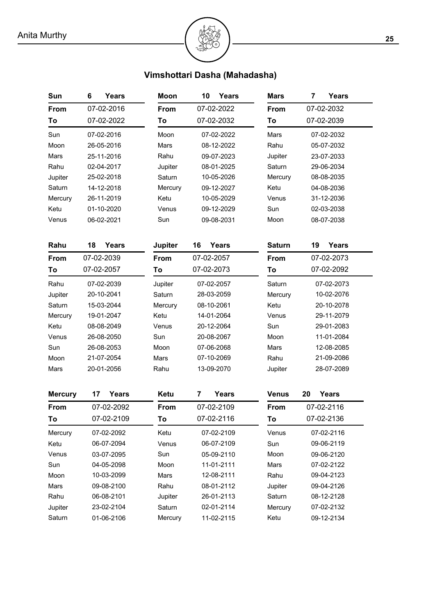# **Vimshottari Dasha (Mahadasha)**

| Sun            | 6<br>Years  | <b>Moon</b>    | 10<br>Years         | <b>Mars</b>   | <b>Years</b><br>7  |  |  |
|----------------|-------------|----------------|---------------------|---------------|--------------------|--|--|
| From           | 07-02-2016  | From           | 07-02-2022          |               | 07-02-2032         |  |  |
| To             | 07-02-2022  | To             | 07-02-2032          | To            | 07-02-2039         |  |  |
| Sun            | 07-02-2016  | Moon           | 07-02-2022          |               | 07-02-2032         |  |  |
| Moon           | 26-05-2016  | Mars           | 08-12-2022          |               | 05-07-2032         |  |  |
| Mars           | 25-11-2016  | Rahu           | 09-07-2023          | Jupiter       | 23-07-2033         |  |  |
| Rahu           | 02-04-2017  | Jupiter        | 08-01-2025          | Saturn        | 29-06-2034         |  |  |
| Jupiter        | 25-02-2018  | Saturn         | 10-05-2026          | Mercury       | 08-08-2035         |  |  |
| Saturn         | 14-12-2018  | Mercury        | 09-12-2027          | Ketu          | 04-08-2036         |  |  |
| Mercury        | 26-11-2019  | Ketu           | 10-05-2029<br>Venus |               | 31-12-2036         |  |  |
| Ketu           | 01-10-2020  | Venus          | 09-12-2029          | Sun           | 02-03-2038         |  |  |
| Venus          | 06-02-2021  | Sun            | 09-08-2031          | Moon          | 08-07-2038         |  |  |
| Rahu           | 18<br>Years | <b>Jupiter</b> | <b>Years</b><br>16  | <b>Saturn</b> | 19<br><b>Years</b> |  |  |
| From           | 07-02-2039  | From           | 07-02-2057          | From          | 07-02-2073         |  |  |
| To             | 07-02-2057  | To             | 07-02-2073          | To            | 07-02-2092         |  |  |
| Rahu           | 07-02-2039  | Jupiter        | 07-02-2057          | Saturn        | 07-02-2073         |  |  |
| Jupiter        | 20-10-2041  | Saturn         | 28-03-2059          | Mercury       | 10-02-2076         |  |  |
| Saturn         | 15-03-2044  | Mercury        | 08-10-2061          | Ketu          | 20-10-2078         |  |  |
| Mercury        | 19-01-2047  | Ketu           | 14-01-2064          | Venus         | 29-11-2079         |  |  |
| Ketu           | 08-08-2049  | Venus          | 20-12-2064          | Sun           | 29-01-2083         |  |  |
| Venus          | 26-08-2050  | Sun            | 20-08-2067          | Moon          | 11-01-2084         |  |  |
| Sun            | 26-08-2053  | Moon           | 07-06-2068          | Mars          | 12-08-2085         |  |  |
| Moon           | 21-07-2054  | <b>Mars</b>    | 07-10-2069          | Rahu          | 21-09-2086         |  |  |
| Mars           | 20-01-2056  | Rahu           | 13-09-2070          | Jupiter       | 28-07-2089         |  |  |
| <b>Mercury</b> | 17<br>Years | Ketu           | <b>Years</b><br>7   | <b>Venus</b>  | 20<br>Years        |  |  |
| From           | 07-02-2092  | From           | 07-02-2109          | From          | 07-02-2116         |  |  |
| To             | 07-02-2109  | To             | 07-02-2116          | To            | 07-02-2136         |  |  |
| Mercury        | 07-02-2092  | Ketu           | 07-02-2109          | Venus         | 07-02-2116         |  |  |
| Ketu           | 06-07-2094  | Venus          | 06-07-2109          | Sun           | 09-06-2119         |  |  |
| Venus          | 03-07-2095  | Sun            | 05-09-2110          | Moon          | 09-06-2120         |  |  |
| Sun            | 04-05-2098  | Moon           | 11-01-2111          | Mars          | 07-02-2122         |  |  |
| Moon           | 10-03-2099  | Mars           | 12-08-2111          | Rahu          | 09-04-2123         |  |  |
| Mars           | 09-08-2100  | Rahu           | 08-01-2112          | Jupiter       | 09-04-2126         |  |  |
| Rahu           | 06-08-2101  | Jupiter        | 26-01-2113          | Saturn        | 08-12-2128         |  |  |
| Jupiter        | 23-02-2104  | Saturn         | 02-01-2114          | Mercury       | 07-02-2132         |  |  |
| Saturn         | 01-06-2106  | Mercury        | 11-02-2115          | Ketu          | 09-12-2134         |  |  |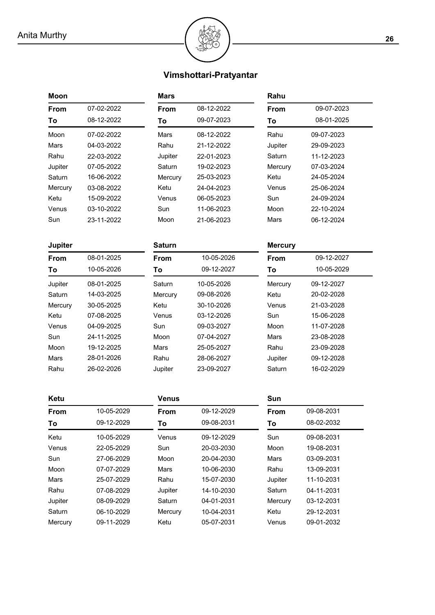

# **Vimshottari-Pratyantar**

| Moon           |            | <b>Mars</b>      |                   | Rahu           |            |  |  |
|----------------|------------|------------------|-------------------|----------------|------------|--|--|
| From           | 07-02-2022 | From             | 08-12-2022        | From           | 09-07-2023 |  |  |
| To             | 08-12-2022 | 09-07-2023<br>To |                   | To             | 08-01-2025 |  |  |
| Moon           | 07-02-2022 | Mars             | 08-12-2022        | Rahu           | 09-07-2023 |  |  |
| Mars           | 04-03-2022 | Rahu             | 21-12-2022        | Jupiter        | 29-09-2023 |  |  |
| Rahu           | 22-03-2022 | Jupiter          | 22-01-2023        | Saturn         | 11-12-2023 |  |  |
| Jupiter        | 07-05-2022 | Saturn           | 19-02-2023        | Mercury        | 07-03-2024 |  |  |
| Saturn         | 16-06-2022 | Mercury          | 25-03-2023        | Ketu           | 24-05-2024 |  |  |
| Mercury        | 03-08-2022 | Ketu             | 24-04-2023        | Venus          | 25-06-2024 |  |  |
| Ketu           | 15-09-2022 | Venus            | 06-05-2023        | Sun            | 24-09-2024 |  |  |
| Venus          | 03-10-2022 | Sun              | 11-06-2023        | Moon           | 22-10-2024 |  |  |
| Sun            | 23-11-2022 | Moon             | 21-06-2023        | Mars           | 06-12-2024 |  |  |
| <b>Jupiter</b> |            | <b>Saturn</b>    |                   | <b>Mercury</b> |            |  |  |
| From           | 08-01-2025 | From             | 10-05-2026        | From           | 09-12-2027 |  |  |
| To             | 10-05-2026 | To               | 09-12-2027        | To             | 10-05-2029 |  |  |
| Jupiter        | 08-01-2025 | Saturn           | 10-05-2026        | Mercury        | 09-12-2027 |  |  |
| Saturn         | 14-03-2025 | Mercury          | 09-08-2026        | Ketu           | 20-02-2028 |  |  |
| Mercury        | 30-05-2025 | Ketu             | 30-10-2026        | Venus          | 21-03-2028 |  |  |
| Ketu           | 07-08-2025 | Venus            | 03-12-2026<br>Sun |                | 15-06-2028 |  |  |
| Venus          | 04-09-2025 | Sun              | 09-03-2027        | Moon           | 11-07-2028 |  |  |
| Sun            | 24-11-2025 | Moon             | 07-04-2027        | Mars           | 23-08-2028 |  |  |
| Moon           | 19-12-2025 | <b>Mars</b>      | 25-05-2027        | Rahu           | 23-09-2028 |  |  |
| Mars           | 28-01-2026 | Rahu             | 28-06-2027        | Jupiter        | 09-12-2028 |  |  |
| Rahu           | 26-02-2026 | Jupiter          | 23-09-2027        |                | 16-02-2029 |  |  |
| Ketu           |            | <b>Venus</b>     |                   | Sun            |            |  |  |
| From           | 10-05-2029 | From             | 09-12-2029        | From           | 09-08-2031 |  |  |
| To             | 09-12-2029 | To               | 09-08-2031        | To             | 08-02-2032 |  |  |
| Ketu           | 10-05-2029 | Venus            | 09-12-2029        | Sun            | 09-08-2031 |  |  |
| Venus          | 22-05-2029 | Sun              | 20-03-2030        | Moon           | 19-08-2031 |  |  |
| Sun            | 27-06-2029 | Moon             | 20-04-2030        | Mars           | 03-09-2031 |  |  |
| Moon           | 07-07-2029 | Mars             | 10-06-2030        | Rahu           | 13-09-2031 |  |  |
| Mars           | 25-07-2029 | Rahu             | 15-07-2030        | Jupiter        | 11-10-2031 |  |  |
| Rahu           | 07-08-2029 | Jupiter          | 14-10-2030        | Saturn         | 04-11-2031 |  |  |
| Jupiter        | 08-09-2029 | Saturn           | 04-01-2031        | Mercury        | 03-12-2031 |  |  |
| Saturn         | 06-10-2029 | Mercury          | 10-04-2031        | Ketu           | 29-12-2031 |  |  |
| Mercury        | 09-11-2029 | Ketu             | 05-07-2031        | Venus          | 09-01-2032 |  |  |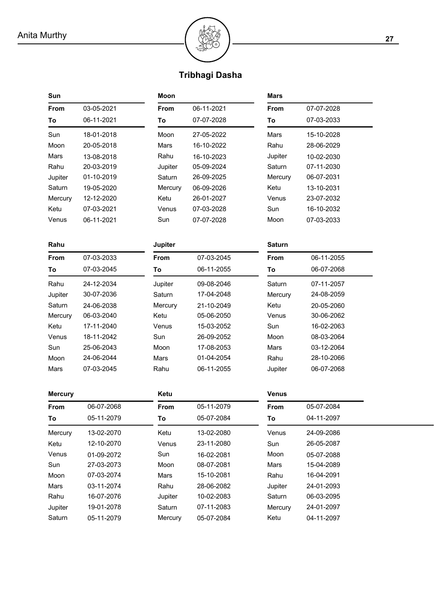

# **Tribhagi Dasha**

| Sun            |            | Moon           |            | <b>Mars</b>   |            |
|----------------|------------|----------------|------------|---------------|------------|
| From           | 03-05-2021 | From           | 06-11-2021 | From          | 07-07-2028 |
| To             | 06-11-2021 | To             | 07-07-2028 | To            | 07-03-2033 |
| Sun            | 18-01-2018 | Moon           | 27-05-2022 | Mars          | 15-10-2028 |
| Moon           | 20-05-2018 | Mars           | 16-10-2022 | Rahu          | 28-06-2029 |
| Mars           | 13-08-2018 | Rahu           | 16-10-2023 | Jupiter       | 10-02-2030 |
| Rahu           | 20-03-2019 | Jupiter        | 05-09-2024 | Saturn        | 07-11-2030 |
| Jupiter        | 01-10-2019 | Saturn         | 26-09-2025 | Mercury       | 06-07-2031 |
| Saturn         | 19-05-2020 | Mercury        | 06-09-2026 | Ketu          | 13-10-2031 |
| Mercury        | 12-12-2020 | Ketu           | 26-01-2027 | Venus         | 23-07-2032 |
| Ketu           | 07-03-2021 | Venus          | 07-03-2028 | Sun           | 16-10-2032 |
| Venus          | 06-11-2021 | Sun            | 07-07-2028 | Moon          | 07-03-2033 |
| Rahu           |            | <b>Jupiter</b> |            | <b>Saturn</b> |            |
| From           | 07-03-2033 | From           | 07-03-2045 | From          | 06-11-2055 |
| To             | 07-03-2045 | To             | 06-11-2055 | To            | 06-07-2068 |
| Rahu           | 24-12-2034 | Jupiter        | 09-08-2046 | Saturn        | 07-11-2057 |
| Jupiter        | 30-07-2036 | Saturn         | 17-04-2048 | Mercury       | 24-08-2059 |
| Saturn         | 24-06-2038 | Mercury        | 21-10-2049 | Ketu          | 20-05-2060 |
| Mercury        | 06-03-2040 | Ketu           | 05-06-2050 | Venus         | 30-06-2062 |
| Ketu           | 17-11-2040 | Venus          | 15-03-2052 | Sun           | 16-02-2063 |
| Venus          | 18-11-2042 | Sun            | 26-09-2052 | Moon          | 08-03-2064 |
| Sun            | 25-06-2043 | Moon           | 17-08-2053 | Mars          | 03-12-2064 |
| Moon           | 24-06-2044 | Mars           | 01-04-2054 | Rahu          | 28-10-2066 |
| Mars           | 07-03-2045 | Rahu           | 06-11-2055 | Jupiter       | 06-07-2068 |
| <b>Mercury</b> |            | Ketu           |            | <b>Venus</b>  |            |
| From           | 06-07-2068 | From           | 05-11-2079 | From          | 05-07-2084 |
| Τo             | 05-11-2079 | To             | 05-07-2084 | To.           | 04-11-2097 |
| Mercury        | 13-02-2070 | Ketu           | 13-02-2080 | Venus         | 24-09-2086 |
| Ketu           | 12-10-2070 | Venus          | 23-11-2080 | Sun           | 26-05-2087 |
| Venus          | 01-09-2072 | Sun            | 16-02-2081 | Moon          | 05-07-2088 |
| Sun            | 27-03-2073 | Moon           | 08-07-2081 | Mars          | 15-04-2089 |
| Moon           | 07-03-2074 | Mars           | 15-10-2081 | Rahu          | 16-04-2091 |
| Mars           | 03-11-2074 | Rahu           | 28-06-2082 | Jupiter       | 24-01-2093 |
| Rahu           | 16-07-2076 | Jupiter        | 10-02-2083 | Saturn        | 06-03-2095 |
| Jupiter        | 19-01-2078 | Saturn         | 07-11-2083 | Mercury       | 24-01-2097 |
| Saturn         | 05-11-2079 | Mercury        | 05-07-2084 | Ketu          | 04-11-2097 |
|                |            |                |            |               |            |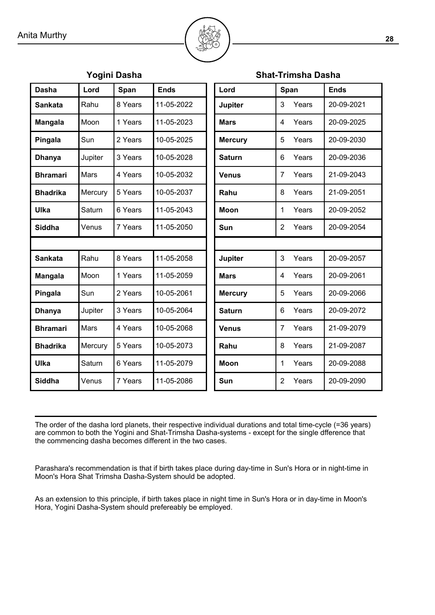

| Yogini Dasha    |         |         |             | <b>Shat-Trimsha Dasha</b> |                |       |             |
|-----------------|---------|---------|-------------|---------------------------|----------------|-------|-------------|
| <b>Dasha</b>    | Lord    | Span    | <b>Ends</b> | Lord                      |                | Span  | <b>Ends</b> |
| <b>Sankata</b>  | Rahu    | 8 Years | 11-05-2022  | Jupiter                   | 3              | Years | 20-09-2021  |
| <b>Mangala</b>  | Moon    | 1 Years | 11-05-2023  | <b>Mars</b>               | 4              | Years | 20-09-2025  |
| Pingala         | Sun     | 2 Years | 10-05-2025  | <b>Mercury</b>            | 5              | Years | 20-09-2030  |
| <b>Dhanya</b>   | Jupiter | 3 Years | 10-05-2028  | <b>Saturn</b>             | 6              | Years | 20-09-2036  |
| <b>Bhramari</b> | Mars    | 4 Years | 10-05-2032  | <b>Venus</b>              | $\overline{7}$ | Years | 21-09-2043  |
| <b>Bhadrika</b> | Mercury | 5 Years | 10-05-2037  | Rahu                      | 8              | Years | 21-09-2051  |
| Ulka            | Saturn  | 6 Years | 11-05-2043  | <b>Moon</b>               | 1              | Years | 20-09-2052  |
| <b>Siddha</b>   | Venus   | 7 Years | 11-05-2050  | Sun                       | 2              | Years | 20-09-2054  |
|                 |         |         |             |                           |                |       |             |
| <b>Sankata</b>  | Rahu    | 8 Years | 11-05-2058  | Jupiter                   | 3              | Years | 20-09-2057  |
| <b>Mangala</b>  | Moon    | 1 Years | 11-05-2059  | <b>Mars</b>               | 4              | Years | 20-09-2061  |
| Pingala         | Sun     | 2 Years | 10-05-2061  | <b>Mercury</b>            | 5              | Years | 20-09-2066  |
| <b>Dhanya</b>   | Jupiter | 3 Years | 10-05-2064  | <b>Saturn</b>             | 6              | Years | 20-09-2072  |
| <b>Bhramari</b> | Mars    | 4 Years | 10-05-2068  | <b>Venus</b>              | $\overline{7}$ | Years | 21-09-2079  |
| <b>Bhadrika</b> | Mercury | 5 Years | 10-05-2073  | Rahu                      | 8              | Years | 21-09-2087  |
| Ulka            | Saturn  | 6 Years | 11-05-2079  | Moon                      | 1              | Years | 20-09-2088  |
| <b>Siddha</b>   | Venus   | 7 Years | 11-05-2086  | Sun                       | $\overline{2}$ | Years | 20-09-2090  |

The order of the dasha lord planets, their respective individual durations and total time-cycle (=36 years) are common to both the Yogini and Shat-Trimsha Dasha-systems - except for the single dfference that the commencing dasha becomes different in the two cases.

Parashara's recommendation is that if birth takes place during day-time in Sun's Hora or in night-time in Moon's Hora Shat Trimsha Dasha-System should be adopted.

As an extension to this principle, if birth takes place in night time in Sun's Hora or in day-time in Moon's Hora, Yogini Dasha-System should prefereably be employed.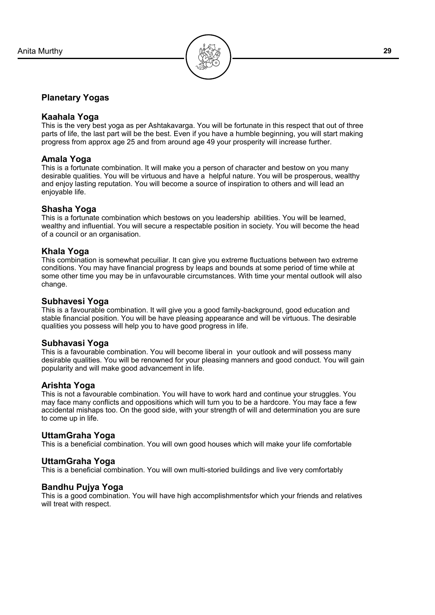

#### **Planetary Yogas**

#### **Kaahala Yoga**

This is the very best yoga as per Ashtakavarga. You will be fortunate in this respect that out of three parts of life, the last part will be the best. Even if you have a humble beginning, you will start making progress from approx age 25 and from around age 49 your prosperity will increase further.

#### **Amala Yoga**

This is a fortunate combination. It will make you a person of character and bestow on you many desirable qualities. You will be virtuous and have a helpful nature. You will be prosperous, wealthy and enjoy lasting reputation. You will become a source of inspiration to others and will lead an enjoyable life.

#### **Shasha Yoga**

This is a fortunate combination which bestows on you leadership abilities. You will be learned, wealthy and influential. You will secure a respectable position in society. You will become the head of a council or an organisation.

#### **Khala Yoga**

This combination is somewhat pecuiliar. It can give you extreme fluctuations between two extreme conditions. You may have financial progress by leaps and bounds at some period of time while at some other time you may be in unfavourable circumstances. With time your mental outlook will also change.

#### **Subhavesi Yoga**

This is a favourable combination. It will give you a good family-background, good education and stable financial position. You will be have pleasing appearance and will be virtuous. The desirable qualities you possess will help you to have good progress in life.

#### **Subhavasi Yoga**

This is a favourable combination. You will become liberal in your outlook and will possess many desirable qualities. You will be renowned for your pleasing manners and good conduct. You will gain popularity and will make good advancement in life.

#### **Arishta Yoga**

This is not a favourable combination. You will have to work hard and continue your struggles. You may face many conflicts and oppositions which will turn you to be a hardcore. You may face a few accidental mishaps too. On the good side, with your strength of will and determination you are sure to come up in life.

#### **UttamGraha Yoga**

This is a beneficial combination. You will own good houses which will make your life comfortable

#### **UttamGraha Yoga**

This is a beneficial combination. You will own multi-storied buildings and live very comfortably

#### **Bandhu Pujya Yoga**

This is a good combination. You will have high accomplishmentsfor which your friends and relatives will treat with respect.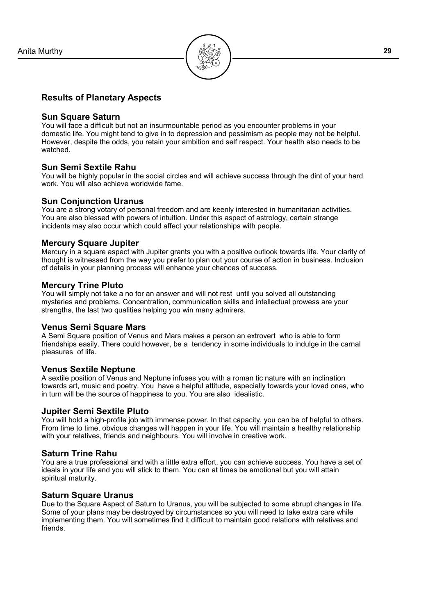

#### **Results of Planetary Aspects**

#### **Sun Square Saturn**

You will face a difficult but not an insurmountable period as you encounter problems in your domestic life. You might tend to give in to depression and pessimism as people may not be helpful. However, despite the odds, you retain your ambition and self respect. Your health also needs to be watched.

#### **Sun Semi Sextile Rahu**

You will be highly popular in the social circles and will achieve success through the dint of your hard work. You will also achieve worldwide fame.

#### **Sun Conjunction Uranus**

You are a strong votary of personal freedom and are keenly interested in humanitarian activities. You are also blessed with powers of intuition. Under this aspect of astrology, certain strange incidents may also occur which could affect your relationships with people.

#### **Mercury Square Jupiter**

Mercury in a square aspect with Jupiter grants you with a positive outlook towards life. Your clarity of thought is witnessed from the way you prefer to plan out your course of action in business. Inclusion of details in your planning process will enhance your chances of success.

#### **Mercury Trine Pluto**

You will simply not take a no for an answer and will not rest until you solved all outstanding mysteries and problems. Concentration, communication skills and intellectual prowess are your strengths, the last two qualities helping you win many admirers.

#### **Venus Semi Square Mars**

A Semi Square position of Venus and Mars makes a person an extrovert who is able to form friendships easily. There could however, be a tendency in some individuals to indulge in the carnal pleasures of life.

#### **Venus Sextile Neptune**

A sextile position of Venus and Neptune infuses you with a roman tic nature with an inclination towards art, music and poetry. You have a helpful attitude, especially towards your loved ones, who in turn will be the source of happiness to you. You are also idealistic.

#### **Jupiter Semi Sextile Pluto**

You will hold a high-profile job with immense power. In that capacity, you can be of helpful to others. From time to time, obvious changes will happen in your life. You will maintain a healthy relationship with your relatives, friends and neighbours. You will involve in creative work.

#### **Saturn Trine Rahu**

You are a true professional and with a little extra effort, you can achieve success. You have a set of ideals in your life and you will stick to them. You can at times be emotional but you will attain spiritual maturity.

#### **Saturn Square Uranus**

Due to the Square Aspect of Saturn to Uranus, you will be subjected to some abrupt changes in life. Some of your plans may be destroyed by circumstances so you will need to take extra care while implementing them. You will sometimes find it difficult to maintain good relations with relatives and friends.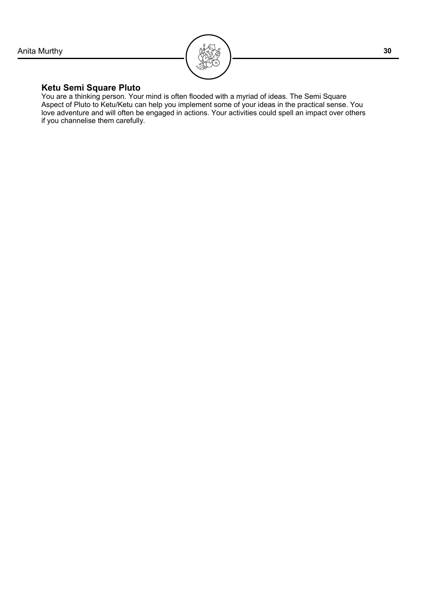

#### **Ketu Semi Square Pluto**

You are a thinking person. Your mind is often flooded with a myriad of ideas. The Semi Square Aspect of Pluto to Ketu/Ketu can help you implement some of your ideas in the practical sense. You love adventure and will often be engaged in actions. Your activities could spell an impact over others if you channelise them carefully.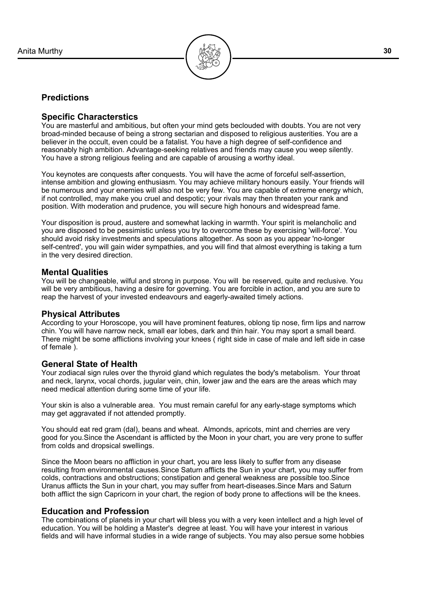

#### **Predictions**

#### **Specific Characterstics**

You are masterful and ambitious, but often your mind gets beclouded with doubts. You are not very broad-minded because of being a strong sectarian and disposed to religious austerities. You are a believer in the occult, even could be a fatalist. You have a high degree of self-confidence and reasonably high ambition. Advantage-seeking relatives and friends may cause you weep silently. You have a strong religious feeling and are capable of arousing a worthy ideal.

You keynotes are conquests after conquests. You will have the acme of forceful self-assertion, intense ambition and glowing enthusiasm. You may achieve military honours easily. Your friends will be numerous and your enemies will also not be very few. You are capable of extreme energy which, if not controlled, may make you cruel and despotic; your rivals may then threaten your rank and position. With moderation and prudence, you will secure high honours and widespread fame.

Your disposition is proud, austere and somewhat lacking in warmth. Your spirit is melancholic and you are disposed to be pessimistic unless you try to overcome these by exercising 'will-force'. You should avoid risky investments and speculations altogether. As soon as you appear 'no-longer self-centred', you will gain wider sympathies, and you will find that almost everything is taking a turn in the very desired direction.

#### **Mental Qualities**

You will be changeable, wilful and strong in purpose. You will be reserved, quite and reclusive. You will be very ambitious, having a desire for governing. You are forcible in action, and you are sure to reap the harvest of your invested endeavours and eagerly-awaited timely actions.

#### **Physical Attributes**

According to your Horoscope, you will have prominent features, oblong tip nose, firm lips and narrow chin. You will have narrow neck, small ear lobes, dark and thin hair. You may sport a small beard. There might be some afflictions involving your knees ( right side in case of male and left side in case of female ).

#### **General State of Health**

Your zodiacal sign rules over the thyroid gland which regulates the body's metabolism. Your throat and neck, larynx, vocal chords, jugular vein, chin, lower jaw and the ears are the areas which may need medical attention during some time of your life.

Your skin is also a vulnerable area. You must remain careful for any early-stage symptoms which may get aggravated if not attended promptly.

You should eat red gram (dal), beans and wheat. Almonds, apricots, mint and cherries are very good for you.Since the Ascendant is afflicted by the Moon in your chart, you are very prone to suffer from colds and dropsical swellings.

Since the Moon bears no affliction in your chart, you are less likely to suffer from any disease resulting from environmental causes.Since Saturn afflicts the Sun in your chart, you may suffer from colds, contractions and obstructions; constipation and general weakness are possible too.Since Uranus afflicts the Sun in your chart, you may suffer from heart-diseases.Since Mars and Saturn both afflict the sign Capricorn in your chart, the region of body prone to affections will be the knees.

#### **Education and Profession**

The combinations of planets in your chart will bless you with a very keen intellect and a high level of education. You will be holding a Master's degree at least. You will have your interest in various fields and will have informal studies in a wide range of subjects. You may also persue some hobbies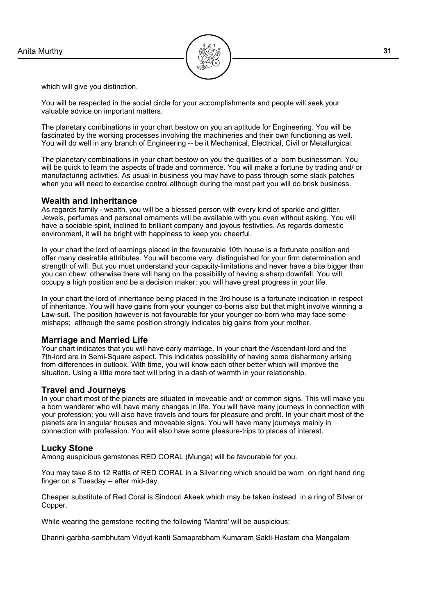

which will give you distinction.

You will be respected in the social circle for your accomplishments and people will seek your valuable advice on important matters.

The planetary combinations in your chart bestow on you an aptitude for Engineering. You will be fascinated by the working processes involving the machineries and their own functioning as well. You will do well in any branch of Engineering -- be it Mechanical, Electrical, Civil or Metallurgical.

The planetary combinations in your chart bestow on you the qualities of a born businessman. You will be quick to learn the aspects of trade and commerce. You will make a fortune by trading and/ or manufacturing activities. As usual in business you may have to pass through some slack patches when you will need to excercise control although during the most part you will do brisk business.

#### **Wealth and Inheritance**

As regards family - wealth, you will be a blessed person with every kind of sparkle and glitter. Jewels, perfumes and personal ornaments will be available with you even without asking. You will have a sociable spirit, inclined to brilliant company and joyous festivities. As regards domestic environment, it will be bright with happiness to keep you cheerful.

In your chart the lord of earnings placed in the favourable 10th house is a fortunate position and offer many desirable attributes. You will become very distinguished for your firm determination and strength of will. But you must understand your capacity-limitations and never have a bite bigger than you can chew; otherwise there will hang on the possibility of having a sharp downfall. You will occupy a high position and be a decision maker; you will have great progress in your life.

In your chart the lord of inheritance being placed in the 3rd house is a fortunate indication in respect of inheritance. You will have gains from your younger co-borns also but that might involve winning a Law-suit. The position however is not favourable for your younger co-born who may face some mishaps; although the same position strongly indicates big gains from your mother.

#### **Marriage and Married Life**

Your chart indicates that you will have early marriage. In your chart the Ascendant-lord and the 7th-lord are in Semi-Square aspect. This indicates possibility of having some disharmony arising from differences in outlook. With time, you will know each other better which will improve the situation. Using a little more tact will bring in a dash of warmth in your relationship.

#### **Travel and Journeys**

In your chart most of the planets are situated in moveable and/ or common signs. This will make you a born wanderer who will have many changes in life. You will have many journeys in connection with your profession; you will also have travels and tours for pleasure and profit. In your chart most of the planets are in angular houses and moveable signs. You will have many journeys mainly in connection with profession. You will also have some pleasure-trips to places of interest.

#### **Lucky Stone**

Among auspicious gemstones RED CORAL (Munga) will be favourable for you.

You may take 8 to 12 Rattis of RED CORAL in a Silver ring which should be worn on right hand ring finger on a Tuesday -- after mid-day.

Cheaper substitute of Red Coral is Sindoori Akeek which may be taken instead in a ring of Silver or Copper.

While wearing the gemstone reciting the following 'Mantra' will be auspicious:

Dharini-garbha-sambhutam Vidyut-kanti Samaprabham Kumaram Sakti-Hastam cha Mangalam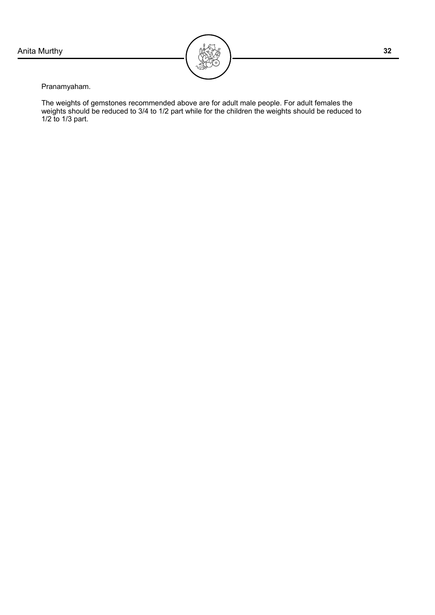

Pranamyaham.

The weights of gemstones recommended above are for adult male people. For adult females the weights should be reduced to 3/4 to 1/2 part while for the children the weights should be reduced to 1/2 to 1/3 part.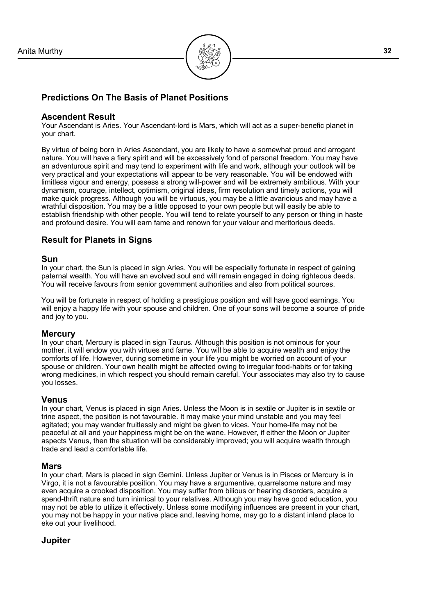

## **Predictions On The Basis of Planet Positions**

#### **Ascendent Result**

Your Ascendant is Aries. Your Ascendant-lord is Mars, which will act as a super-benefic planet in your chart.

By virtue of being born in Aries Ascendant, you are likely to have a somewhat proud and arrogant nature. You will have a fiery spirit and will be excessively fond of personal freedom. You may have an adventurous spirit and may tend to experiment with life and work, although your outlook will be very practical and your expectations will appear to be very reasonable. You will be endowed with limitless vigour and energy, possess a strong will-power and will be extremely ambitious. With your dynamism, courage, intellect, optimism, original ideas, firm resolution and timely actions, you will make quick progress. Although you will be virtuous, you may be a little avaricious and may have a wrathful disposition. You may be a little opposed to your own people but will easily be able to establish friendship with other people. You will tend to relate yourself to any person or thing in haste and profound desire. You will earn fame and renown for your valour and meritorious deeds.

#### **Result for Planets in Signs**

#### **Sun**

In your chart, the Sun is placed in sign Aries. You will be especially fortunate in respect of gaining paternal wealth. You will have an evolved soul and will remain engaged in doing righteous deeds. You will receive favours from senior government authorities and also from political sources.

You will be fortunate in respect of holding a prestigious position and will have good earnings. You will enjoy a happy life with your spouse and children. One of your sons will become a source of pride and joy to you.

#### **Mercury**

In your chart, Mercury is placed in sign Taurus. Although this position is not ominous for your mother, it will endow you with virtues and fame. You will be able to acquire wealth and enjoy the comforts of life. However, during sometime in your life you might be worried on account of your spouse or children. Your own health might be affected owing to irregular food-habits or for taking wrong medicines, in which respect you should remain careful. Your associates may also try to cause you losses.

#### **Venus**

In your chart, Venus is placed in sign Aries. Unless the Moon is in sextile or Jupiter is in sextile or trine aspect, the position is not favourable. It may make your mind unstable and you may feel agitated; you may wander fruitlessly and might be given to vices. Your home-life may not be peaceful at all and your happiness might be on the wane. However, if either the Moon or Jupiter aspects Venus, then the situation will be considerably improved; you will acquire wealth through trade and lead a comfortable life.

#### **Mars**

In your chart, Mars is placed in sign Gemini. Unless Jupiter or Venus is in Pisces or Mercury is in Virgo, it is not a favourable position. You may have a argumentive, quarrelsome nature and may even acquire a crooked disposition. You may suffer from bilious or hearing disorders, acquire a spend-thrift nature and turn inimical to your relatives. Although you may have good education, you may not be able to utilize it effectively. Unless some modifying influences are present in your chart, you may not be happy in your native place and, leaving home, may go to a distant inland place to eke out your livelihood.

#### **Jupiter**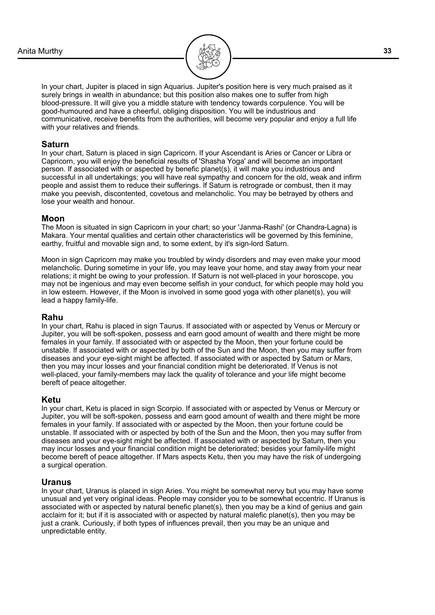

In your chart, Jupiter is placed in sign Aquarius. Jupiter's position here is very much praised as it surely brings in wealth in abundance; but this position also makes one to suffer from high blood-pressure. It will give you a middle stature with tendency towards corpulence. You will be good-humoured and have a cheerful, obliging disposition. You will be industrious and communicative, receive benefits from the authorities, will become very popular and enjoy a full life with your relatives and friends.

#### **Saturn**

In your chart, Saturn is placed in sign Capricorn. If your Ascendant is Aries or Cancer or Libra or Capricorn, you will enjoy the beneficial results of 'Shasha Yoga' and will become an important person. If associated with or aspected by benefic planet(s), it will make you industrious and successful in all undertakings; you will have real sympathy and concern for the old, weak and infirm people and assist them to reduce their sufferings. If Saturn is retrograde or combust, then it may make you peevish, discontented, covetous and melancholic. You may be betrayed by others and lose your wealth and honour.

#### **Moon**

The Moon is situated in sign Capricorn in your chart; so your 'Janma-Rashi' (or Chandra-Lagna) is Makara. Your mental qualities and certain other characteristics will be governed by this feminine, earthy, fruitful and movable sign and, to some extent, by it's sign-lord Saturn.

Moon in sign Capricorn may make you troubled by windy disorders and may even make your mood melancholic. During sometime in your life, you may leave your home, and stay away from your near relations; it might be owing to your profession. If Saturn is not well-placed in your horoscope, you may not be ingenious and may even become selfish in your conduct, for which people may hold you in low esteem. However, if the Moon is involved in some good yoga with other planet(s), you will lead a happy family-life.

#### **Rahu**

In your chart, Rahu is placed in sign Taurus. If associated with or aspected by Venus or Mercury or Jupiter, you will be soft-spoken, possess and earn good amount of wealth and there might be more females in your family. If associated with or aspected by the Moon, then your fortune could be unstable. If associated with or aspected by both of the Sun and the Moon, then you may suffer from diseases and your eye-sight might be affected. If associated with or aspected by Saturn or Mars, then you may incur losses and your financial condition might be deteriorated. If Venus is not well-placed, your family-members may lack the quality of tolerance and your life might become bereft of peace altogether.

#### **Ketu**

In your chart, Ketu is placed in sign Scorpio. If associated with or aspected by Venus or Mercury or Jupiter, you will be soft-spoken, possess and earn good amount of wealth and there might be more females in your family. If associated with or aspected by the Moon, then your fortune could be unstable. If associated with or aspected by both of the Sun and the Moon, then you may suffer from diseases and your eye-sight might be affected. If associated with or aspected by Saturn, then you may incur losses and your financial condition might be deteriorated; besides your family-life might become bereft of peace altogether. If Mars aspects Ketu, then you may have the risk of undergoing a surgical operation.

#### **Uranus**

In your chart, Uranus is placed in sign Aries. You might be somewhat nervy but you may have some unusual and yet very original ideas. People may consider you to be somewhat eccentric. If Uranus is associated with or aspected by natural benefic planet(s), then you may be a kind of genius and gain acclaim for it; but if it is associated with or aspected by natural malefic planet(s), then you may be just a crank. Curiously, if both types of influences prevail, then you may be an unique and unpredictable entity.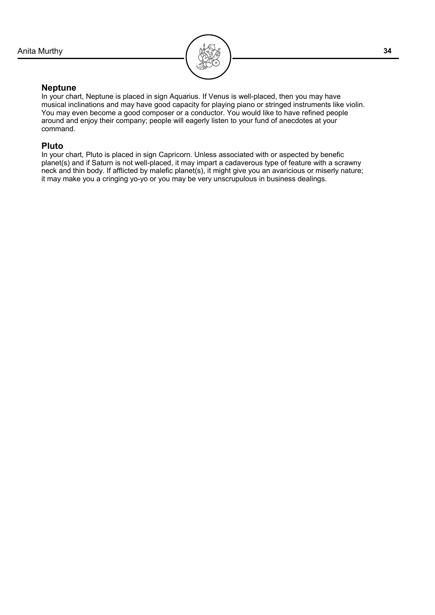

#### **Neptune**

In your chart, Neptune is placed in sign Aquarius. If Venus is well-placed, then you may have musical inclinations and may have good capacity for playing piano or stringed instruments like violin. You may even become a good composer or a conductor. You would like to have refined people around and enjoy their company; people will eagerly listen to your fund of anecdotes at your command.

#### **Pluto**

In your chart, Pluto is placed in sign Capricorn. Unless associated with or aspected by benefic planet(s) and if Saturn is not well-placed, it may impart a cadaverous type of feature with a scrawny neck and thin body. If afflicted by malefic planet(s), it might give you an avaricious or miserly nature; it may make you a cringing yo-yo or you may be very unscrupulous in business dealings.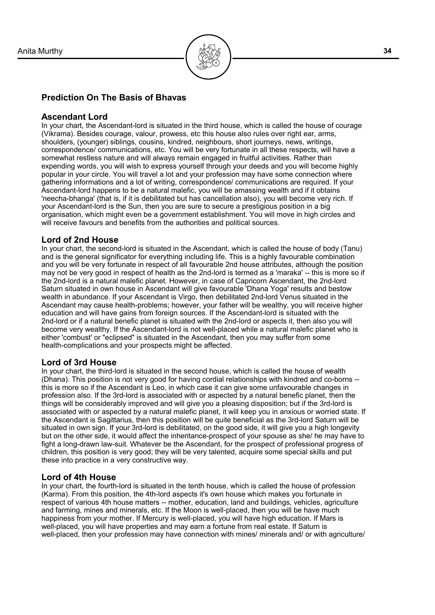

#### **Prediction On The Basis of Bhavas**

#### **Ascendant Lord**

In your chart, the Ascendant-lord is situated in the third house, which is called the house of courage (Vikrama). Besides courage, valour, prowess, etc this house also rules over right ear, arms, shoulders, (younger) siblings, cousins, kindred, neighbours, short journeys, news, writings, correspondence/ communications, etc. You will be very fortunate in all these respects, will have a somewhat restless nature and will always remain engaged in fruitful activities. Rather than expending words, you will wish to express yourself through your deeds and you will become highly popular in your circle. You will travel a lot and your profession may have some connection where gathering informations and a lot of writing, correspondence/ communications are required. If your Ascendant-lord happens to be a natural malefic, you will be amassing wealth and if it obtains 'neecha-bhanga' (that is, if it is debilitated but has cancellation also), you will become very rich. If your Ascendant-lord is the Sun, then you are sure to secure a prestigious position in a big organisation, which might even be a government establishment. You will move in high circles and will receive favours and benefits from the authorities and political sources.

#### **Lord of 2nd House**

In your chart, the second-lord is situated in the Ascendant, which is called the house of body (Tanu) and is the general significator for everything including life. This is a highly favourable combination and you will be very fortunate in respect of all favourable 2nd house attributes, although the position may not be very good in respect of health as the 2nd-lord is termed as a 'maraka' -- this is more so if the 2nd-lord is a natural malefic planet. However, in case of Capricorn Ascendant, the 2nd-lord Saturn situated in own house in Ascendant will give favourable 'Dhana Yoga' results and bestow wealth in abundance. If your Ascendant is Virgo, then debilitated 2nd-lord Venus situated in the Ascendant may cause health-problems; however, your father will be wealthy, you will receive higher education and will have gains from foreign sources. If the Ascendant-lord is situated with the 2nd-lord or if a natural benefic planet is situated with the 2nd-lord or aspects it, then also you will become very wealthy. If the Ascendant-lord is not well-placed while a natural malefic planet who is either 'combust' or "eclipsed" is situated in the Ascendant, then you may suffer from some health-complications and your prospects might be affected.

#### **Lord of 3rd House**

In your chart, the third-lord is situated in the second house, which is called the house of wealth (Dhana). This position is not very good for having cordial relationships with kindred and co-borns - this is more so if the Ascendant is Leo, in which case it can give some unfavourable changes in profession also. If the 3rd-lord is associated with or aspected by a natural benefic planet, then the things will be considerably improved and will give you a pleasing disposition; but if the 3rd-lord is associated with or aspected by a natural malefic planet, it will keep you in anxious or worried state. If the Ascendant is Sagittarius, then this position will be quite beneficial as the 3rd-lord Saturn will be situated in own sign. If your 3rd-lord is debilitated, on the good side, it will give you a high longevity but on the other side, it would affect the inheritance-prospect of your spouse as she/ he may have to fight a long-drawn law-suit. Whatever be the Ascendant, for the prospect of professional progress of children, this position is very good; they will be very talented, acquire some special skills and put these into practice in a very constructive way.

#### **Lord of 4th House**

In your chart, the fourth-lord is situated in the tenth house, which is called the house of profession (Karma). From this position, the 4th-lord aspects it's own house which makes you fortunate in respect of various 4th house matters -- mother, education, land and buildings, vehicles, agriculture and farming, mines and minerals, etc. If the Moon is well-placed, then you will be have much happiness from your mother. If Mercury is well-placed, you will have high education. If Mars is well-placed, you will have properties and may earn a fortune from real estate. If Saturn is well-placed, then your profession may have connection with mines/ minerals and/ or with agriculture/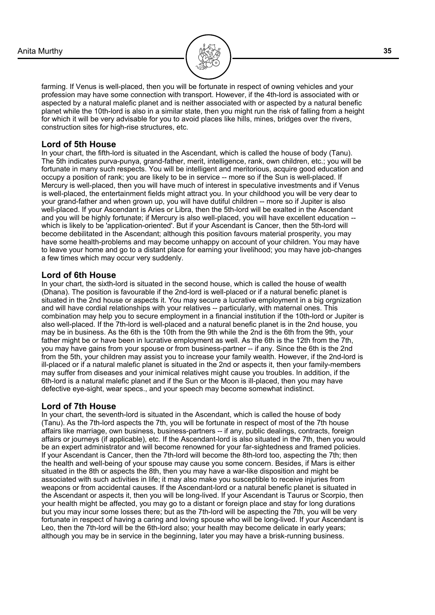

farming. If Venus is well-placed, then you will be fortunate in respect of owning vehicles and your profession may have some connection with transport. However, if the 4th-lord is associated with or aspected by a natural malefic planet and is neither associated with or aspected by a natural benefic planet while the 10th-lord is also in a similar state, then you might run the risk of falling from a height for which it will be very advisable for you to avoid places like hills, mines, bridges over the rivers, construction sites for high-rise structures, etc.

#### **Lord of 5th House**

In your chart, the fifth-lord is situated in the Ascendant, which is called the house of body (Tanu). The 5th indicates purva-punya, grand-father, merit, intelligence, rank, own children, etc.; you will be fortunate in many such respects. You will be intelligent and meritorious, acquire good education and occupy a position of rank; you are likely to be in service -- more so if the Sun is well-placed. If Mercury is well-placed, then you will have much of interest in speculative investments and if Venus is well-placed, the entertainment fields might attract you. In your childhood you will be very dear to your grand-father and when grown up, you will have dutiful children -- more so if Jupiter is also well-placed. If your Ascendant is Aries or Libra, then the 5th-lord will be exalted in the Ascendant and you will be highly fortunate; if Mercury is also well-placed, you will have excellent education - which is likely to be 'application-oriented'. But if your Ascendant is Cancer, then the 5th-lord will become debilitated in the Ascendant; although this position favours material prosperity, you may have some health-problems and may become unhappy on account of your children. You may have to leave your home and go to a distant place for earning your livelihood; you may have job-changes a few times which may occur very suddenly.

#### **Lord of 6th House**

In your chart, the sixth-lord is situated in the second house, which is called the house of wealth (Dhana). The position is favourable if the 2nd-lord is well-placed or if a natural benefic planet is situated in the 2nd house or aspects it. You may secure a lucrative employment in a big orgnization and will have cordial relationships with your relatives -- particularly, with maternal ones. This combination may help you to secure employment in a financial institution if the 10th-lord or Jupiter is also well-placed. If the 7th-lord is well-placed and a natural benefic planet is in the 2nd house, you may be in business. As the 6th is the 10th from the 9th while the 2nd is the 6th from the 9th, your father might be or have been in lucrative employment as well. As the 6th is the 12th from the 7th, you may have gains from your spouse or from business-partner -- if any. Since the 6th is the 2nd from the 5th, your children may assist you to increase your family wealth. However, if the 2nd-lord is ill-placed or if a natural malefic planet is situated in the 2nd or aspects it, then your family-members may suffer from diseases and your inimical relatives might cause you troubles. In addition, if the 6th-lord is a natural malefic planet and if the Sun or the Moon is ill-placed, then you may have defective eye-sight, wear specs., and your speech may become somewhat indistinct.

#### **Lord of 7th House**

In your chart, the seventh-lord is situated in the Ascendant, which is called the house of body (Tanu). As the 7th-lord aspects the 7th, you will be fortunate in respect of most of the 7th house affairs like marriage, own business, business-partners -- if any, public dealings, contracts, foreign affairs or journeys (if applicable), etc. If the Ascendant-lord is also situated in the 7th, then you would be an expert administrator and will become renowned for your far-sightedness and framed policies. If your Ascendant is Cancer, then the 7th-lord will become the 8th-lord too, aspecting the 7th; then the health and well-being of your spouse may cause you some concern. Besides, if Mars is either situated in the 8th or aspects the 8th, then you may have a war-like disposition and might be associated with such activities in life; it may also make you susceptible to receive injuries from weapons or from accidental causes. If the Ascendant-lord or a natural benefic planet is situated in the Ascendant or aspects it, then you will be long-lived. If your Ascendant is Taurus or Scorpio, then your health might be affected, you may go to a distant or foreign place and stay for long durations but you may incur some losses there; but as the 7th-lord will be aspecting the 7th, you will be very fortunate in respect of having a caring and loving spouse who will be long-lived. If your Ascendant is Leo, then the 7th-lord will be the 6th-lord also; your health may become delicate in early years; although you may be in service in the beginning, later you may have a brisk-running business.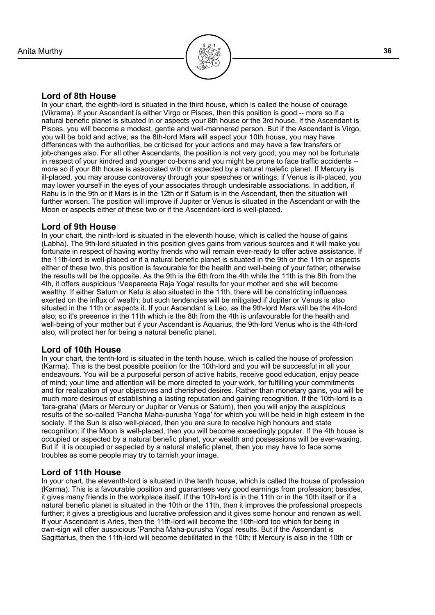

#### **Lord of 8th House**

In your chart, the eighth-lord is situated in the third house, which is called the house of courage (Vikrama). If your Ascendant is either Virgo or Pisces, then this position is good -- more so if a natural benefic planet is situated in or aspects your 8th house or the 3rd house. If the Ascendant is Pisces, you will become a modest, gentle and well-mannered person. But if the Ascendant is Virgo, you will be bold and active; as the 8th-lord Mars will aspect your 10th house, you may have differences with the authorities, be criticised for your actions and may have a few transfers or job-changes also. For all other Ascendants, the position is not very good; you may not be fortunate in respect of your kindred and younger co-borns and you might be prone to face traffic accidents - more so if your 8th house is associated with or aspected by a natural malefic planet. If Mercury is ill-placed, you may arouse controversy through your speeches or writings; if Venus is ill-placed, you may lower yourself in the eyes of your associates through undesirable associations. In addition, if Rahu is in the 9th or if Mars is in the 12th or if Saturn is in the Ascendant, then the situation will further worsen. The position will improve if Jupiter or Venus is situated in the Ascendant or with the Moon or aspects either of these two or if the Ascendant-lord is well-placed.

#### **Lord of 9th House**

In your chart, the ninth-lord is situated in the eleventh house, which is called the house of gains (Labha). The 9th-lord situated in this position gives gains from various sources and it will make you fortunate in respect of having worthy friends who will remain ever-ready to offer active assistance. If the 11th-lord is well-placed or if a natural benefic planet is situated in the 9th or the 11th or aspects either of these two, this position is favourable for the health and well-being of your father; otherwise the results will be the opposite. As the 9th is the 6th from the 4th while the 11th is the 8th from the 4th, it offers auspicious 'Veepareeta Raja Yoga' results for your mother and she will become wealthy. If either Saturn or Ketu is also situated in the 11th, there will be constricting influences exerted on the influx of wealth; but such tendencies will be mitigated if Jupiter or Venus is also situated in the 11th or aspects it. If your Ascendant is Leo, as the 9th-lord Mars will be the 4th-lord also; so it's presence in the 11th which is the 8th from the 4th is unfavourable for the health and well-being of your mother but if your Ascendant is Aquarius, the 9th-lord Venus who is the 4th-lord also, will protect her for being a natural benefic planet.

#### **Lord of 10th House**

In your chart, the tenth-lord is situated in the tenth house, which is called the house of profession (Karma). This is the best possible position for the 10th-lord and you will be successful in all your endeavours. You will be a purposeful person of active habits, receive good education, enjoy peace of mind; your time and attention will be more directed to your work, for fulfilling your commitments and for realization of your objectives and cherished desires. Rather than monetary gains, you will be much more desirous of establishing a lasting reputation and gaining recognition. If the 10th-lord is a 'tara-graha' (Mars or Mercury or Jupiter or Venus or Saturn), then you will enjoy the auspicious results of the so-called 'Pancha Maha-purusha Yoga' for which you will be held in high esteem in the society. If the Sun is also well-placed, then you are sure to receive high honours and state recognition; if the Moon is well-placed, then you will become exceedingly popular. If the 4th house is occupied or aspected by a natural benefic planet, your wealth and possessions will be ever-waxing. But if it is occupied or aspected by a natural malefic planet, then you may have to face some troubles as some people may try to tarnish your image.

#### **Lord of 11th House**

In your chart, the eleventh-lord is situated in the tenth house, which is called the house of profession (Karma). This is a favourable position and guarantees very good earnings from profession; besides, it gives many friends in the workplace itself. If the 10th-lord is in the 11th or in the 10th itself or if a natural benefic planet is situated in the 10th or the 11th, then it improves the professional prospects further; it gives a prestigious and lucrative profession and it gives some honour and renown as well. If your Ascendant is Aries, then the 11th-lord will become the 10th-lord too which for being in own-sign will offer auspicious 'Pancha Maha-purusha Yoga' results. But if the Ascendant is Sagittarius, then the 11th-lord will become debilitated in the 10th; if Mercury is also in the 10th or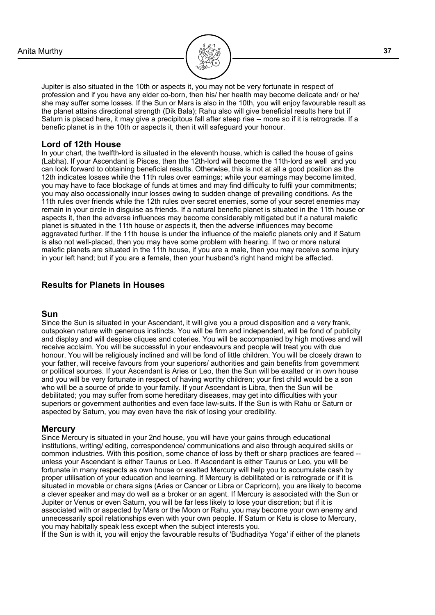

Jupiter is also situated in the 10th or aspects it, you may not be very fortunate in respect of profession and if you have any elder co-born, then his/ her health may become delicate and/ or he/ she may suffer some losses. If the Sun or Mars is also in the 10th, you will enjoy favourable result as the planet attains directional strength (Dik Bala); Rahu also will give beneficial results here but if Saturn is placed here, it may give a precipitous fall after steep rise -- more so if it is retrograde. If a benefic planet is in the 10th or aspects it, then it will safeguard your honour.

#### **Lord of 12th House**

In your chart, the twelfth-lord is situated in the eleventh house, which is called the house of gains (Labha). If your Ascendant is Pisces, then the 12th-lord will become the 11th-lord as well and you can look forward to obtaining beneficial results. Otherwise, this is not at all a good position as the 12th indicates losses while the 11th rules over earnings; while your earnings may become limited, you may have to face blockage of funds at times and may find difficulty to fulfil your commitments; you may also occassionally incur losses owing to sudden change of prevailing conditions. As the 11th rules over friends while the 12th rules over secret enemies, some of your secret enemies may remain in your circle in disguise as friends. If a natural benefic planet is situated in the 11th house or aspects it, then the adverse influences may become considerably mitigated but if a natural malefic planet is situated in the 11th house or aspects it, then the adverse influences may become aggravated further. If the 11th house is under the influence of the malefic planets only and if Saturn is also not well-placed, then you may have some problem with hearing. If two or more natural malefic planets are situated in the 11th house, if you are a male, then you may receive some injury in your left hand; but if you are a female, then your husband's right hand might be affected.

## **Results for Planets in Houses**

#### **Sun**

Since the Sun is situated in your Ascendant, it will give you a proud disposition and a very frank, outspoken nature with generous instincts. You will be firm and independent, will be fond of publicity and display and will despise cliques and coteries. You will be accompanied by high motives and will receive acclaim. You will be successful in your endeavours and people will treat you with due honour. You will be religiously inclined and will be fond of little children. You will be closely drawn to your father, will receive favours from your superiors/ authorities and gain benefits from government or political sources. If your Ascendant is Aries or Leo, then the Sun will be exalted or in own house and you will be very fortunate in respect of having worthy children; your first child would be a son who will be a source of pride to your family. If your Ascendant is Libra, then the Sun will be debilitated; you may suffer from some hereditary diseases, may get into difficulties with your superiors or government authorities and even face law-suits. If the Sun is with Rahu or Saturn or aspected by Saturn, you may even have the risk of losing your credibility.

#### **Mercury**

Since Mercury is situated in your 2nd house, you will have your gains through educational institutions, writing/ editing, correspondence/ communications and also through acquired skills or common industries. With this position, some chance of loss by theft or sharp practices are feared - unless your Ascendant is either Taurus or Leo. If Ascendant is either Taurus or Leo, you will be fortunate in many respects as own house or exalted Mercury will help you to accumulate cash by proper utilisation of your education and learning. If Mercury is debilitated or is retrograde or if it is situated in movable or chara signs (Aries or Cancer or Libra or Capricorn), you are likely to become a clever speaker and may do well as a broker or an agent. If Mercury is associated with the Sun or Jupiter or Venus or even Saturn, you will be far less likely to lose your discretion; but if it is associated with or aspected by Mars or the Moon or Rahu, you may become your own enemy and unnecessarily spoil relationships even with your own people. If Saturn or Ketu is close to Mercury, you may habitally speak less except when the subject interests you.

If the Sun is with it, you will enjoy the favourable results of 'Budhaditya Yoga' if either of the planets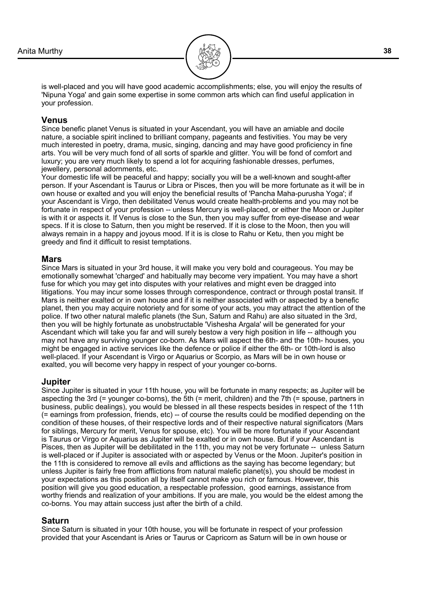

is well-placed and you will have good academic accomplishments; else, you will enjoy the results of 'Nipuna Yoga' and gain some expertise in some common arts which can find useful application in your profession.

#### **Venus**

Since benefic planet Venus is situated in your Ascendant, you will have an amiable and docile nature, a sociable spirit inclined to brilliant company, pageants and festivities. You may be very much interested in poetry, drama, music, singing, dancing and may have good proficiency in fine arts. You will be very much fond of all sorts of sparkle and glitter. You will be fond of comfort and luxury; you are very much likely to spend a lot for acquiring fashionable dresses, perfumes, jewellery, personal adornments, etc.

Your domestic life will be peaceful and happy; socially you will be a well-known and sought-after person. If your Ascendant is Taurus or Libra or Pisces, then you will be more fortunate as it will be in own house or exalted and you will enjoy the beneficial results of 'Pancha Maha-purusha Yoga'; if your Ascendant is Virgo, then debilitated Venus would create health-problems and you may not be fortunate in respect of your profession -- unless Mercury is well-placed, or either the Moon or Jupiter is with it or aspects it. If Venus is close to the Sun, then you may suffer from eye-disease and wear specs. If it is close to Saturn, then you might be reserved. If it is close to the Moon, then you will always remain in a happy and joyous mood. If it is is close to Rahu or Ketu, then you might be greedy and find it difficult to resist temptations.

#### **Mars**

Since Mars is situated in your 3rd house, it will make you very bold and courageous. You may be emotionally somewhat 'charged' and habitually may become very impatient. You may have a short fuse for which you may get into disputes with your relatives and might even be dragged into litigations. You may incur some losses through correspondence, contract or through postal transit. If Mars is neither exalted or in own house and if it is neither associated with or aspected by a benefic planet, then you may acquire notoriety and for some of your acts, you may attract the attention of the police. If two other natural malefic planets (the Sun, Saturn and Rahu) are also situated in the 3rd, then you will be highly fortunate as unobstructable 'Vishesha Argala' will be generated for your Ascendant which will take you far and will surely bestow a very high position in life -- although you may not have any surviving younger co-born. As Mars will aspect the 6th- and the 10th- houses, you might be engaged in active services like the defence or police if either the 6th- or 10th-lord is also well-placed. If your Ascendant is Virgo or Aquarius or Scorpio, as Mars will be in own house or exalted, you will become very happy in respect of your younger co-borns.

#### **Jupiter**

Since Jupiter is situated in your 11th house, you will be fortunate in many respects; as Jupiter will be aspecting the 3rd (= younger co-borns), the 5th (= merit, children) and the 7th (= spouse, partners in business, public dealings), you would be blessed in all these respects besides in respect of the 11th (= earnings from profession, friends, etc) -- of course the results could be modified depending on the condition of these houses, of their respective lords and of their respective natural significators (Mars for siblings, Mercury for merit, Venus for spouse, etc). You will be more fortunate if your Ascendant is Taurus or Virgo or Aquarius as Jupiter will be exalted or in own house. But if your Ascendant is Pisces, then as Jupiter will be debilitated in the 11th, you may not be very fortunate -- unless Saturn is well-placed or if Jupiter is associated with or aspected by Venus or the Moon. Jupiter's position in the 11th is considered to remove all evils and afflictions as the saying has become legendary; but unless Jupiter is fairly free from afflictions from natural malefic planet(s), you should be modest in your expectations as this position all by itself cannot make you rich or famous. However, this position will give you good education, a respectable profession, good earnings, assistance from worthy friends and realization of your ambitions. If you are male, you would be the eldest among the co-borns. You may attain success just after the birth of a child.

#### **Saturn**

Since Saturn is situated in your 10th house, you will be fortunate in respect of your profession provided that your Ascendant is Aries or Taurus or Capricorn as Saturn will be in own house or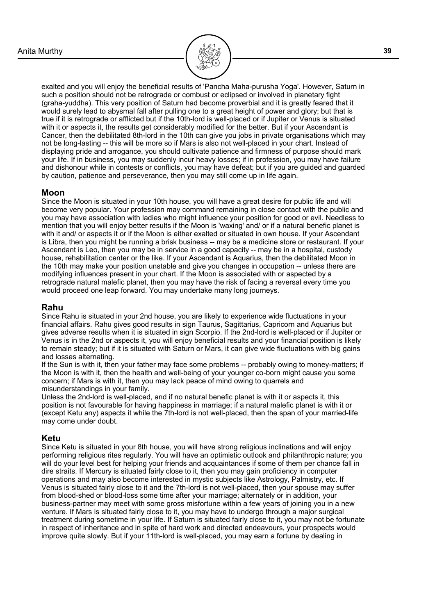

exalted and you will enjoy the beneficial results of 'Pancha Maha-purusha Yoga'. However, Saturn in such a position should not be retrograde or combust or eclipsed or involved in planetary fight (graha-yuddha). This very position of Saturn had become proverbial and it is greatly feared that it would surely lead to abysmal fall after pulling one to a great height of power and glory; but that is true if it is retrograde or afflicted but if the 10th-lord is well-placed or if Jupiter or Venus is situated with it or aspects it, the results get considerably modified for the better. But if your Ascendant is Cancer, then the debilitated 8th-lord in the 10th can give you jobs in private organisations which may not be long-lasting -- this will be more so if Mars is also not well-placed in your chart. Instead of displaying pride and arrogance, you should cultivate patience and firmness of purpose should mark your life. If in business, you may suddenly incur heavy losses; if in profession, you may have failure and dishonour while in contests or conflicts, you may have defeat; but if you are guided and guarded by caution, patience and perseverance, then you may still come up in life again.

#### **Moon**

Since the Moon is situated in your 10th house, you will have a great desire for public life and will become very popular. Your profession may command remaining in close contact with the public and you may have association with ladies who might influence your position for good or evil. Needless to mention that you will enjoy better results if the Moon is 'waxing' and/ or if a natural benefic planet is with it and/ or aspects it or if the Moon is either exalted or situated in own house. If your Ascendant is Libra, then you might be running a brisk business -- may be a medicine store or restaurant. If your Ascendant is Leo, then you may be in service in a good capacity -- may be in a hospital, custody house, rehabilitation center or the like. If your Ascendant is Aquarius, then the debilitated Moon in the 10th may make your position unstable and give you changes in occupation -- unless there are modifying influences present in your chart. If the Moon is associated with or aspected by a retrograde natural malefic planet, then you may have the risk of facing a reversal every time you would proceed one leap forward. You may undertake many long journeys.

#### **Rahu**

Since Rahu is situated in your 2nd house, you are likely to experience wide fluctuations in your financial affairs. Rahu gives good results in sign Taurus, Sagittarius, Capricorn and Aquarius but gives adverse results when it is situated in sign Scorpio. If the 2nd-lord is well-placed or if Jupiter or Venus is in the 2nd or aspects it, you will enjoy beneficial results and your financial position is likely to remain steady; but if it is situated with Saturn or Mars, it can give wide fluctuations with big gains and losses alternating.

If the Sun is with it, then your father may face some problems -- probably owing to money-matters; if the Moon is with it, then the health and well-being of your younger co-born might cause you some concern; if Mars is with it, then you may lack peace of mind owing to quarrels and misunderstandings in your family.

Unless the 2nd-lord is well-placed, and if no natural benefic planet is with it or aspects it, this position is not favourable for having happiness in marriage; if a natural malefic planet is with it or (except Ketu any) aspects it while the 7th-lord is not well-placed, then the span of your married-life may come under doubt.

#### **Ketu**

Since Ketu is situated in your 8th house, you will have strong religious inclinations and will enjoy performing religious rites regularly. You will have an optimistic outlook and philanthropic nature; you will do your level best for helping your friends and acquaintances if some of them per chance fall in dire straits. If Mercury is situated fairly close to it, then you may gain proficiency in computer operations and may also become interested in mystic subjects like Astrology, Palmistry, etc. If Venus is situated fairly close to it and the 7th-lord is not well-placed, then your spouse may suffer from blood-shed or blood-loss some time after your marriage; alternately or in addition, your business-partner may meet with some gross misfortune within a few years of joining you in a new venture. If Mars is situated fairly close to it, you may have to undergo through a major surgical treatment during sometime in your life. If Saturn is situated fairly close to it, you may not be fortunate in respect of inheritance and in spite of hard work and directed endeavours, your prospects would improve quite slowly. But if your 11th-lord is well-placed, you may earn a fortune by dealing in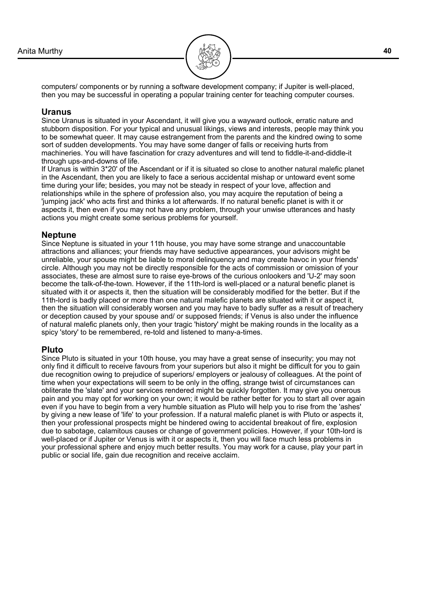

computers/ components or by running a software development company; if Jupiter is well-placed, then you may be successful in operating a popular training center for teaching computer courses.

#### **Uranus**

Since Uranus is situated in your Ascendant, it will give you a wayward outlook, erratic nature and stubborn disposition. For your typical and unusual likings, views and interests, people may think you to be somewhat queer. It may cause estrangement from the parents and the kindred owing to some sort of sudden developments. You may have some danger of falls or receiving hurts from machineries. You will have fascination for crazy adventures and will tend to fiddle-it-and-diddle-it through ups-and-downs of life.

If Uranus is within 3\*20' of the Ascendant or if it is situated so close to another natural malefic planet in the Ascendant, then you are likely to face a serious accidental mishap or untoward event some time during your life; besides, you may not be steady in respect of your love, affection and relationships while in the sphere of profession also, you may acquire the reputation of being a 'jumping jack' who acts first and thinks a lot afterwards. If no natural benefic planet is with it or aspects it, then even if you may not have any problem, through your unwise utterances and hasty actions you might create some serious problems for yourself.

#### **Neptune**

Since Neptune is situated in your 11th house, you may have some strange and unaccountable attractions and alliances; your friends may have seductive appearances, your advisors might be unreliable, your spouse might be liable to moral delinquency and may create havoc in your friends' circle. Although you may not be directly responsible for the acts of commission or omission of your associates, these are almost sure to raise eye-brows of the curious onlookers and 'U-2' may soon become the talk-of-the-town. However, if the 11th-lord is well-placed or a natural benefic planet is situated with it or aspects it, then the situation will be considerably modified for the better. But if the 11th-lord is badly placed or more than one natural malefic planets are situated with it or aspect it, then the situation will considerably worsen and you may have to badly suffer as a result of treachery or deception caused by your spouse and/ or supposed friends; if Venus is also under the influence of natural malefic planets only, then your tragic 'history' might be making rounds in the locality as a spicy 'story' to be remembered, re-told and listened to many-a-times.

#### **Pluto**

Since Pluto is situated in your 10th house, you may have a great sense of insecurity; you may not only find it difficult to receive favours from your superiors but also it might be difficult for you to gain due recognition owing to prejudice of superiors/ employers or jealousy of colleagues. At the point of time when your expectations will seem to be only in the offing, strange twist of circumstances can obliterate the 'slate' and your services rendered might be quickly forgotten. It may give you onerous pain and you may opt for working on your own; it would be rather better for you to start all over again even if you have to begin from a very humble situation as Pluto will help you to rise from the 'ashes' by giving a new lease of 'life' to your profession. If a natural malefic planet is with Pluto or aspects it, then your professional prospects might be hindered owing to accidental breakout of fire, explosion due to sabotage, calamitous causes or change of government policies. However, if your 10th-lord is well-placed or if Jupiter or Venus is with it or aspects it, then you will face much less problems in your professional sphere and enjoy much better results. You may work for a cause, play your part in public or social life, gain due recognition and receive acclaim.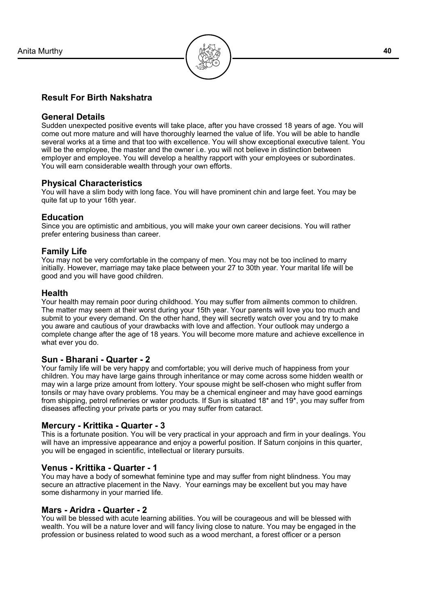

#### **Result For Birth Nakshatra**

#### **General Details**

Sudden unexpected positive events will take place, after you have crossed 18 years of age. You will come out more mature and will have thoroughly learned the value of life. You will be able to handle several works at a time and that too with excellence. You will show exceptional executive talent. You will be the employee, the master and the owner i.e. you will not believe in distinction between employer and employee. You will develop a healthy rapport with your employees or subordinates. You will earn considerable wealth through your own efforts.

#### **Physical Characteristics**

You will have a slim body with long face. You will have prominent chin and large feet. You may be quite fat up to your 16th year.

#### **Education**

Since you are optimistic and ambitious, you will make your own career decisions. You will rather prefer entering business than career.

#### **Family Life**

You may not be very comfortable in the company of men. You may not be too inclined to marry initially. However, marriage may take place between your 27 to 30th year. Your marital life will be good and you will have good children.

#### **Health**

Your health may remain poor during childhood. You may suffer from ailments common to children. The matter may seem at their worst during your 15th year. Your parents will love you too much and submit to your every demand. On the other hand, they will secretly watch over you and try to make you aware and cautious of your drawbacks with love and affection. Your outlook may undergo a complete change after the age of 18 years. You will become more mature and achieve excellence in what ever you do.

#### **Sun - Bharani - Quarter - 2**

Your family life will be very happy and comfortable; you will derive much of happiness from your children. You may have large gains through inheritance or may come across some hidden wealth or may win a large prize amount from lottery. Your spouse might be self-chosen who might suffer from tonsils or may have ovary problems. You may be a chemical engineer and may have good earnings from shipping, petrol refineries or water products. If Sun is situated 18\* and 19\*, you may suffer from diseases affecting your private parts or you may suffer from cataract.

#### **Mercury - Krittika - Quarter - 3**

This is a fortunate position. You will be very practical in your approach and firm in your dealings. You will have an impressive appearance and enjoy a powerful position. If Saturn conjoins in this quarter, you will be engaged in scientific, intellectual or literary pursuits.

#### **Venus - Krittika - Quarter - 1**

You may have a body of somewhat feminine type and may suffer from night blindness. You may secure an attractive placement in the Navy. Your earnings may be excellent but you may have some disharmony in your married life.

#### **Mars - Aridra - Quarter - 2**

You will be blessed with acute learning abilities. You will be courageous and will be blessed with wealth. You will be a nature lover and will fancy living close to nature. You may be engaged in the profession or business related to wood such as a wood merchant, a forest officer or a person